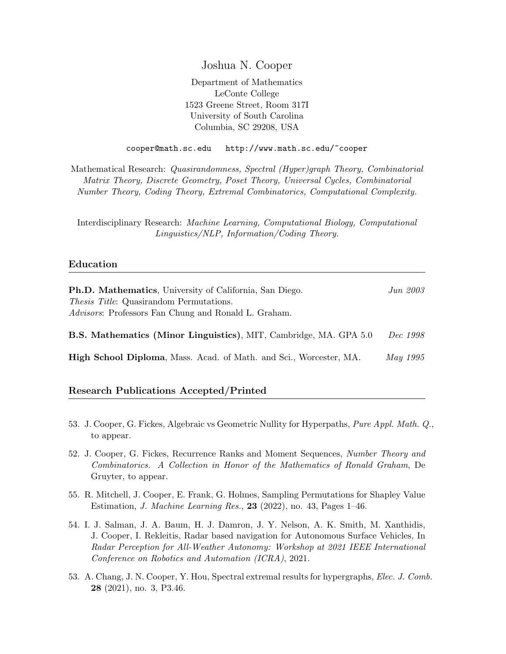Joshua N. Cooper

Department of Mathematics LeConte College 1523 Greene Street, Room 317I University of South Carolina Columbia, SC 29208, USA

cooper@math.sc.edu http://www.math.sc.edu/~cooper

Mathematical Research: Quasirandomness, Spectral (Hyper)graph Theory, Combinatorial Matrix Theory, Discrete Geometry, Poset Theory, Universal Cycles, Combinatorial Number Theory, Coding Theory, Extremal Combinatorics, Computational Complexity.

Interdisciplinary Research: Machine Learning, Computational Biology, Computational Linguistics/NLP, Information/Coding Theory.

# Education

| <b>Ph.D. Mathematics</b> , University of California, San Diego.          | Jun 2003        |
|--------------------------------------------------------------------------|-----------------|
| <i>Thesis Title</i> : Quasirandom Permutations.                          |                 |
| <i>Advisors:</i> Professors Fan Chung and Ronald L. Graham.              |                 |
| <b>B.S. Mathematics (Minor Linguistics), MIT, Cambridge, MA. GPA 5.0</b> | <i>Dec</i> 1998 |
|                                                                          |                 |

**High School Diploma, Mass. Acad. of Math. and Sci., Worcester, MA.** May 1995

## Research Publications Accepted/Printed

- 53. J. Cooper, G. Fickes, Algebraic vs Geometric Nullity for Hyperpaths, Pure Appl. Math. Q., to appear.
- 52. J. Cooper, G. Fickes, Recurrence Ranks and Moment Sequences, Number Theory and Combinatorics. A Collection in Honor of the Mathematics of Ronald Graham, De Gruyter, to appear.
- 55. R. Mitchell, J. Cooper, E. Frank, G. Holmes, Sampling Permutations for Shapley Value Estimation, *J. Machine Learning Res.*, **23** (2022), no. 43, Pages  $1-46$ .
- 54. I. J. Salman, J. A. Baum, H. J. Damron, J. Y. Nelson, A. K. Smith, M. Xanthidis, J. Cooper, I. Rekleitis, Radar based navigation for Autonomous Surface Vehicles, In Radar Perception for All-Weather Autonomy: Workshop at 2021 IEEE International Conference on Robotics and Automation (ICRA), 2021.
- 53. A. Chang, J. N. Cooper, Y. Hou, Spectral extremal results for hypergraphs, Elec. J. Comb. 28 (2021), no. 3, P3.46.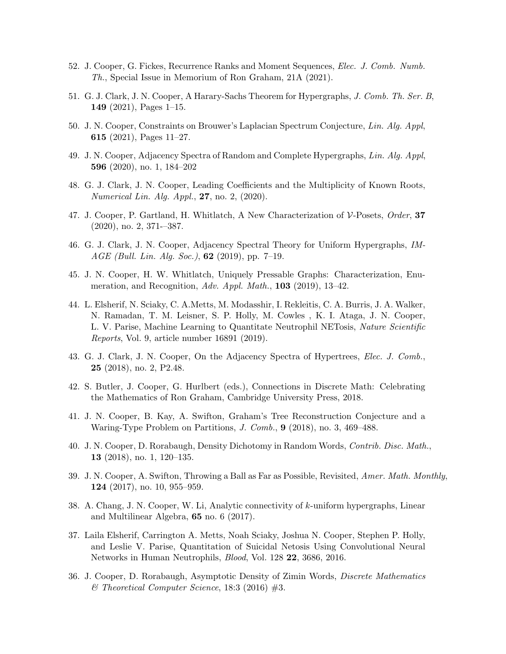- 52. J. Cooper, G. Fickes, Recurrence Ranks and Moment Sequences, Elec. J. Comb. Numb. Th., Special Issue in Memorium of Ron Graham, 21A (2021).
- 51. G. J. Clark, J. N. Cooper, A Harary-Sachs Theorem for Hypergraphs, J. Comb. Th. Ser. B, 149 (2021), Pages 1–15.
- 50. J. N. Cooper, Constraints on Brouwer's Laplacian Spectrum Conjecture, Lin. Alg. Appl, 615 (2021), Pages  $11-27$ .
- 49. J. N. Cooper, Adjacency Spectra of Random and Complete Hypergraphs, Lin. Alg. Appl, 596 (2020), no. 1, 184–202
- 48. G. J. Clark, J. N. Cooper, Leading Coefficients and the Multiplicity of Known Roots, Numerical Lin. Alg. Appl., 27, no. 2, (2020).
- 47. J. Cooper, P. Gartland, H. Whitlatch, A New Characterization of V-Posets, Order, 37 (2020), no. 2, 371-–387.
- 46. G. J. Clark, J. N. Cooper, Adjacency Spectral Theory for Uniform Hypergraphs, IM-AGE (Bull. Lin. Alg. Soc.), 62 (2019), pp. 7–19.
- 45. J. N. Cooper, H. W. Whitlatch, Uniquely Pressable Graphs: Characterization, Enumeration, and Recognition,  $Adv.$  Appl. Math., 103 (2019), 13-42.
- 44. L. Elsherif, N. Sciaky, C. A.Metts, M. Modasshir, I. Rekleitis, C. A. Burris, J. A. Walker, N. Ramadan, T. M. Leisner, S. P. Holly, M. Cowles , K. I. Ataga, J. N. Cooper, L. V. Parise, Machine Learning to Quantitate Neutrophil NETosis, Nature Scientific Reports, Vol. 9, article number 16891 (2019).
- 43. G. J. Clark, J. N. Cooper, On the Adjacency Spectra of Hypertrees, Elec. J. Comb., 25 (2018), no. 2, P2.48.
- 42. S. Butler, J. Cooper, G. Hurlbert (eds.), Connections in Discrete Math: Celebrating the Mathematics of Ron Graham, Cambridge University Press, 2018.
- 41. J. N. Cooper, B. Kay, A. Swifton, Graham's Tree Reconstruction Conjecture and a Waring-Type Problem on Partitions, J. Comb., 9 (2018), no. 3, 469–488.
- 40. J. N. Cooper, D. Rorabaugh, Density Dichotomy in Random Words, Contrib. Disc. Math., 13 (2018), no. 1, 120–135.
- 39. J. N. Cooper, A. Swifton, Throwing a Ball as Far as Possible, Revisited, Amer. Math. Monthly, 124 (2017), no. 10, 955–959.
- 38. A. Chang, J. N. Cooper, W. Li, Analytic connectivity of k-uniform hypergraphs, Linear and Multilinear Algebra, 65 no. 6 (2017).
- 37. Laila Elsherif, Carrington A. Metts, Noah Sciaky, Joshua N. Cooper, Stephen P. Holly, and Leslie V. Parise, Quantitation of Suicidal Netosis Using Convolutional Neural Networks in Human Neutrophils, Blood, Vol. 128 22, 3686, 2016.
- 36. J. Cooper, D. Rorabaugh, Asymptotic Density of Zimin Words, Discrete Mathematics  $\mathcal C$  Theoretical Computer Science, 18:3 (2016) #3.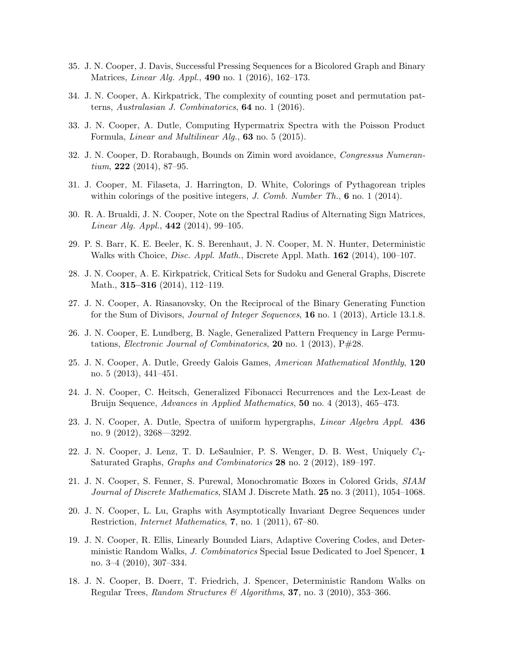- 35. J. N. Cooper, J. Davis, Successful Pressing Sequences for a Bicolored Graph and Binary Matrices, *Linear Alg. Appl.*, **490** no. 1 (2016), 162–173.
- 34. J. N. Cooper, A. Kirkpatrick, The complexity of counting poset and permutation patterns, Australasian J. Combinatorics,  $64$  no. 1 (2016).
- 33. J. N. Cooper, A. Dutle, Computing Hypermatrix Spectra with the Poisson Product Formula, *Linear and Multilinear Alg.*,  $63$  no. 5 (2015).
- 32. J. N. Cooper, D. Rorabaugh, Bounds on Zimin word avoidance, Congressus Numeran $tium, 222 (2014), 87-95.$
- 31. J. Cooper, M. Filaseta, J. Harrington, D. White, Colorings of Pythagorean triples within colorings of the positive integers,  $J.$  Comb. Number  $Th.$ , 6 no. 1 (2014).
- 30. R. A. Brualdi, J. N. Cooper, Note on the Spectral Radius of Alternating Sign Matrices, *Linear Alg. Appl.*,  $442$  (2014), 99-105.
- 29. P. S. Barr, K. E. Beeler, K. S. Berenhaut, J. N. Cooper, M. N. Hunter, Deterministic Walks with Choice, *Disc. Appl. Math.*, Discrete Appl. Math.  $162$  (2014), 100–107.
- 28. J. N. Cooper, A. E. Kirkpatrick, Critical Sets for Sudoku and General Graphs, Discrete Math., 315–316 (2014), 112–119.
- 27. J. N. Cooper, A. Riasanovsky, On the Reciprocal of the Binary Generating Function for the Sum of Divisors, *Journal of Integer Sequences*, **16** no. 1 (2013), Article 13.1.8.
- 26. J. N. Cooper, E. Lundberg, B. Nagle, Generalized Pattern Frequency in Large Permutations, *Electronic Journal of Combinatorics*, **20** no. 1 (2013),  $P\#28$ .
- 25. J. N. Cooper, A. Dutle, Greedy Galois Games, American Mathematical Monthly, 120 no. 5 (2013), 441–451.
- 24. J. N. Cooper, C. Heitsch, Generalized Fibonacci Recurrences and the Lex-Least de Bruijn Sequence, Advances in Applied Mathematics, 50 no. 4 (2013), 465-473.
- 23. J. N. Cooper, A. Dutle, Spectra of uniform hypergraphs, Linear Algebra Appl. 436 no. 9 (2012), 3268—3292.
- 22. J. N. Cooper, J. Lenz, T. D. LeSaulnier, P. S. Wenger, D. B. West, Uniquely C4- Saturated Graphs, Graphs and Combinatorics 28 no. 2 (2012), 189-197.
- 21. J. N. Cooper, S. Fenner, S. Purewal, Monochromatic Boxes in Colored Grids, SIAM Journal of Discrete Mathematics, SIAM J. Discrete Math. 25 no. 3 (2011), 1054–1068.
- 20. J. N. Cooper, L. Lu, Graphs with Asymptotically Invariant Degree Sequences under Restriction, *Internet Mathematics*, 7, no. 1 (2011), 67–80.
- 19. J. N. Cooper, R. Ellis, Linearly Bounded Liars, Adaptive Covering Codes, and Deterministic Random Walks, J. Combinatorics Special Issue Dedicated to Joel Spencer, 1 no. 3–4 (2010), 307–334.
- 18. J. N. Cooper, B. Doerr, T. Friedrich, J. Spencer, Deterministic Random Walks on Regular Trees, Random Structures & Algorithms, 37, no. 3 (2010), 353-366.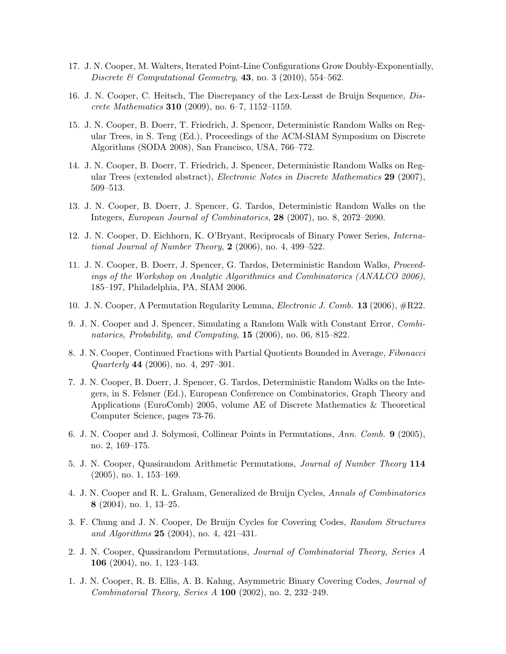- 17. J. N. Cooper, M. Walters, Iterated Point-Line Configurations Grow Doubly-Exponentially, Discrete & Computational Geometry,  $43$ , no. 3 (2010), 554-562.
- 16. J. N. Cooper, C. Heitsch, The Discrepancy of the Lex-Least de Bruijn Sequence, Discrete Mathematics 310 (2009), no. 6–7, 1152–1159.
- 15. J. N. Cooper, B. Doerr, T. Friedrich, J. Spencer, Deterministic Random Walks on Regular Trees, in S. Teng (Ed.), Proceedings of the ACM-SIAM Symposium on Discrete Algorithms (SODA 2008), San Francisco, USA, 766–772.
- 14. J. N. Cooper, B. Doerr, T. Friedrich, J. Spencer, Deterministic Random Walks on Regular Trees (extended abstract), *Electronic Notes in Discrete Mathematics* 29 (2007), 509–513.
- 13. J. N. Cooper, B. Doerr, J. Spencer, G. Tardos, Deterministic Random Walks on the Integers, European Journal of Combinatorics, 28 (2007), no. 8, 2072–2090.
- 12. J. N. Cooper, D. Eichhorn, K. O'Bryant, Reciprocals of Binary Power Series, International Journal of Number Theory,  $2$  (2006), no. 4, 499-522.
- 11. J. N. Cooper, B. Doerr, J. Spencer, G. Tardos, Deterministic Random Walks, Proceedings of the Workshop on Analytic Algorithmics and Combinatorics (ANALCO 2006), 185–197, Philadelphia, PA, SIAM 2006.
- 10. J. N. Cooper, A Permutation Regularity Lemma, Electronic J. Comb. 13 (2006), #R22.
- 9. J. N. Cooper and J. Spencer, Simulating a Random Walk with Constant Error, Combinatorics, Probability, and Computing, 15 (2006), no. 06, 815–822.
- 8. J. N. Cooper, Continued Fractions with Partial Quotients Bounded in Average, Fibonacci Quarterly 44 (2006), no. 4, 297–301.
- 7. J. N. Cooper, B. Doerr, J. Spencer, G. Tardos, Deterministic Random Walks on the Integers, in S. Felsner (Ed.), European Conference on Combinatorics, Graph Theory and Applications (EuroComb) 2005, volume AE of Discrete Mathematics & Theoretical Computer Science, pages 73-76.
- 6. J. N. Cooper and J. Solymosi, Collinear Points in Permutations, Ann. Comb. 9 (2005), no. 2, 169–175.
- 5. J. N. Cooper, Quasirandom Arithmetic Permutations, Journal of Number Theory 114 (2005), no. 1, 153–169.
- 4. J. N. Cooper and R. L. Graham, Generalized de Bruijn Cycles, Annals of Combinatorics 8 (2004), no. 1, 13–25.
- 3. F. Chung and J. N. Cooper, De Bruijn Cycles for Covering Codes, Random Structures and Algorithms  $25$  (2004), no. 4, 421–431.
- 2. J. N. Cooper, Quasirandom Permutations, Journal of Combinatorial Theory, Series A 106 (2004), no. 1, 123–143.
- 1. J. N. Cooper, R. B. Ellis, A. B. Kahng, Asymmetric Binary Covering Codes, Journal of Combinatorial Theory, Series A 100 (2002), no. 2, 232–249.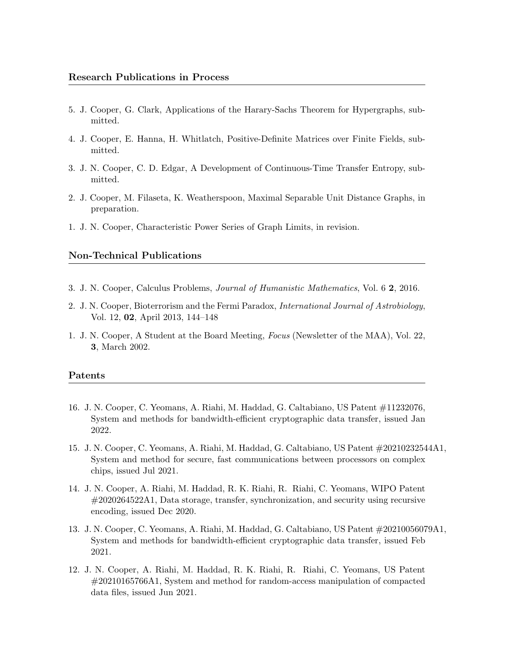- 5. J. Cooper, G. Clark, Applications of the Harary-Sachs Theorem for Hypergraphs, submitted.
- 4. J. Cooper, E. Hanna, H. Whitlatch, Positive-Definite Matrices over Finite Fields, submitted.
- 3. J. N. Cooper, C. D. Edgar, A Development of Continuous-Time Transfer Entropy, submitted.
- 2. J. Cooper, M. Filaseta, K. Weatherspoon, Maximal Separable Unit Distance Graphs, in preparation.
- 1. J. N. Cooper, Characteristic Power Series of Graph Limits, in revision.

## Non-Technical Publications

- 3. J. N. Cooper, Calculus Problems, Journal of Humanistic Mathematics, Vol. 6 2, 2016.
- 2. J. N. Cooper, Bioterrorism and the Fermi Paradox, International Journal of Astrobiology, Vol. 12, 02, April 2013, 144–148
- 1. J. N. Cooper, A Student at the Board Meeting, Focus (Newsletter of the MAA), Vol. 22, 3, March 2002.

### Patents

- 16. J. N. Cooper, C. Yeomans, A. Riahi, M. Haddad, G. Caltabiano, US Patent #11232076, System and methods for bandwidth-efficient cryptographic data transfer, issued Jan 2022.
- 15. J. N. Cooper, C. Yeomans, A. Riahi, M. Haddad, G. Caltabiano, US Patent #20210232544A1, System and method for secure, fast communications between processors on complex chips, issued Jul 2021.
- 14. J. N. Cooper, A. Riahi, M. Haddad, R. K. Riahi, R. Riahi, C. Yeomans, WIPO Patent #2020264522A1, Data storage, transfer, synchronization, and security using recursive encoding, issued Dec 2020.
- 13. J. N. Cooper, C. Yeomans, A. Riahi, M. Haddad, G. Caltabiano, US Patent #20210056079A1, System and methods for bandwidth-efficient cryptographic data transfer, issued Feb 2021.
- 12. J. N. Cooper, A. Riahi, M. Haddad, R. K. Riahi, R. Riahi, C. Yeomans, US Patent #20210165766A1, System and method for random-access manipulation of compacted data files, issued Jun 2021.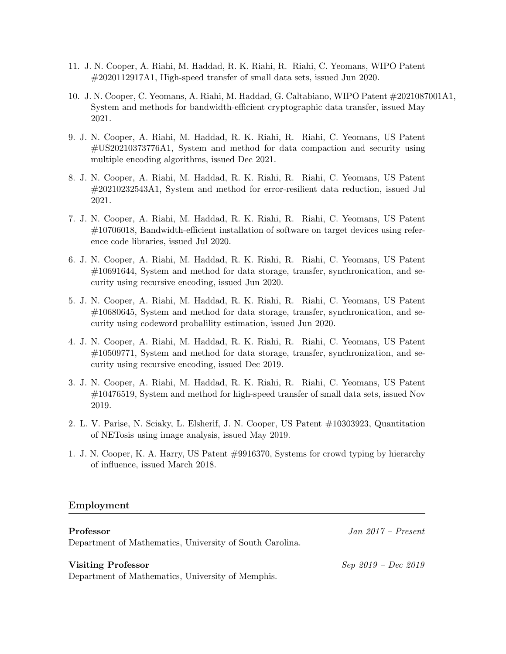- 11. J. N. Cooper, A. Riahi, M. Haddad, R. K. Riahi, R. Riahi, C. Yeomans, WIPO Patent #2020112917A1, High-speed transfer of small data sets, issued Jun 2020.
- 10. J. N. Cooper, C. Yeomans, A. Riahi, M. Haddad, G. Caltabiano, WIPO Patent #2021087001A1, System and methods for bandwidth-efficient cryptographic data transfer, issued May 2021.
- 9. J. N. Cooper, A. Riahi, M. Haddad, R. K. Riahi, R. Riahi, C. Yeomans, US Patent #US20210373776A1, System and method for data compaction and security using multiple encoding algorithms, issued Dec 2021.
- 8. J. N. Cooper, A. Riahi, M. Haddad, R. K. Riahi, R. Riahi, C. Yeomans, US Patent #20210232543A1, System and method for error-resilient data reduction, issued Jul 2021.
- 7. J. N. Cooper, A. Riahi, M. Haddad, R. K. Riahi, R. Riahi, C. Yeomans, US Patent #10706018, Bandwidth-efficient installation of software on target devices using reference code libraries, issued Jul 2020.
- 6. J. N. Cooper, A. Riahi, M. Haddad, R. K. Riahi, R. Riahi, C. Yeomans, US Patent #10691644, System and method for data storage, transfer, synchronication, and security using recursive encoding, issued Jun 2020.
- 5. J. N. Cooper, A. Riahi, M. Haddad, R. K. Riahi, R. Riahi, C. Yeomans, US Patent #10680645, System and method for data storage, transfer, synchronication, and security using codeword probalility estimation, issued Jun 2020.
- 4. J. N. Cooper, A. Riahi, M. Haddad, R. K. Riahi, R. Riahi, C. Yeomans, US Patent #10509771, System and method for data storage, transfer, synchronization, and security using recursive encoding, issued Dec 2019.
- 3. J. N. Cooper, A. Riahi, M. Haddad, R. K. Riahi, R. Riahi, C. Yeomans, US Patent #10476519, System and method for high-speed transfer of small data sets, issued Nov 2019.
- 2. L. V. Parise, N. Sciaky, L. Elsherif, J. N. Cooper, US Patent #10303923, Quantitation of NETosis using image analysis, issued May 2019.
- 1. J. N. Cooper, K. A. Harry, US Patent #9916370, Systems for crowd typing by hierarchy of influence, issued March 2018.

## Employment

Department of Mathematics, University of South Carolina.

#### Visiting Professor Sep 2019 – Dec 2019

Department of Mathematics, University of Memphis.

Professor Jan 2017 – Present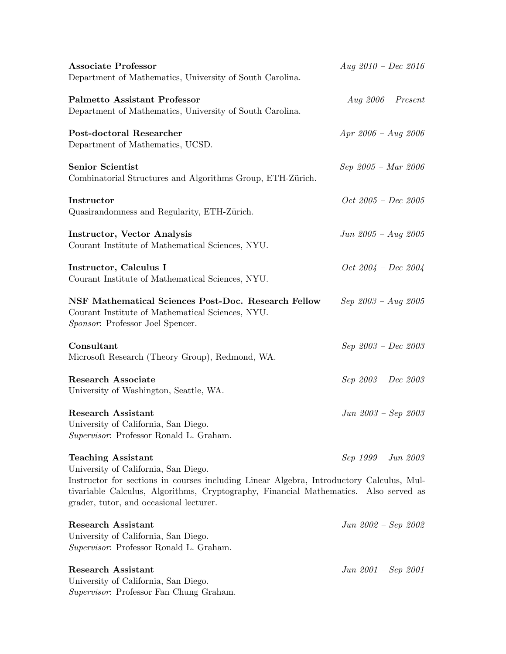| <b>Associate Professor</b><br>Department of Mathematics, University of South Carolina.                                                                                                                                                                                                           | $Aug 2010 - Dec 2016$   |
|--------------------------------------------------------------------------------------------------------------------------------------------------------------------------------------------------------------------------------------------------------------------------------------------------|-------------------------|
| <b>Palmetto Assistant Professor</b><br>Department of Mathematics, University of South Carolina.                                                                                                                                                                                                  | $Aug 2006 - Present$    |
| Post-doctoral Researcher<br>Department of Mathematics, UCSD.                                                                                                                                                                                                                                     | $Apr\ 2006 - Aug\ 2006$ |
| <b>Senior Scientist</b><br>Combinatorial Structures and Algorithms Group, ETH-Zürich.                                                                                                                                                                                                            | Sep 2005 - Mar 2006     |
| Instructor<br>Quasirandomness and Regularity, ETH-Zürich.                                                                                                                                                                                                                                        | $Oct 2005 - Dec 2005$   |
| <b>Instructor, Vector Analysis</b><br>Courant Institute of Mathematical Sciences, NYU.                                                                                                                                                                                                           | $Jun\ 2005 - Aug\ 2005$ |
| Instructor, Calculus I<br>Courant Institute of Mathematical Sciences, NYU.                                                                                                                                                                                                                       | $Oct 2004 - Dec 2004$   |
| NSF Mathematical Sciences Post-Doc. Research Fellow<br>Courant Institute of Mathematical Sciences, NYU.<br>Sponsor: Professor Joel Spencer.                                                                                                                                                      | $Sep\,2003 - Aug\,2005$ |
| Consultant<br>Microsoft Research (Theory Group), Redmond, WA.                                                                                                                                                                                                                                    | Sep 2003 - Dec 2003     |
| <b>Research Associate</b><br>University of Washington, Seattle, WA.                                                                                                                                                                                                                              | Sep 2003 - Dec 2003     |
| <b>Research Assistant</b><br>University of California, San Diego.<br>Supervisor: Professor Ronald L. Graham.                                                                                                                                                                                     | $Jun 2003 - Sep 2003$   |
| <b>Teaching Assistant</b><br>University of California, San Diego.<br>Instructor for sections in courses including Linear Algebra, Introductory Calculus, Mul-<br>tivariable Calculus, Algorithms, Cryptography, Financial Mathematics. Also served as<br>grader, tutor, and occasional lecturer. | Sep 1999 - Jun 2003     |
| <b>Research Assistant</b><br>University of California, San Diego.<br>Supervisor: Professor Ronald L. Graham.                                                                                                                                                                                     | $Jun 2002 - Sep 2002$   |
| <b>Research Assistant</b><br>University of California, San Diego.<br><i>Supervisor</i> : Professor Fan Chung Graham.                                                                                                                                                                             | $Jun\ 2001 - Sep\ 2001$ |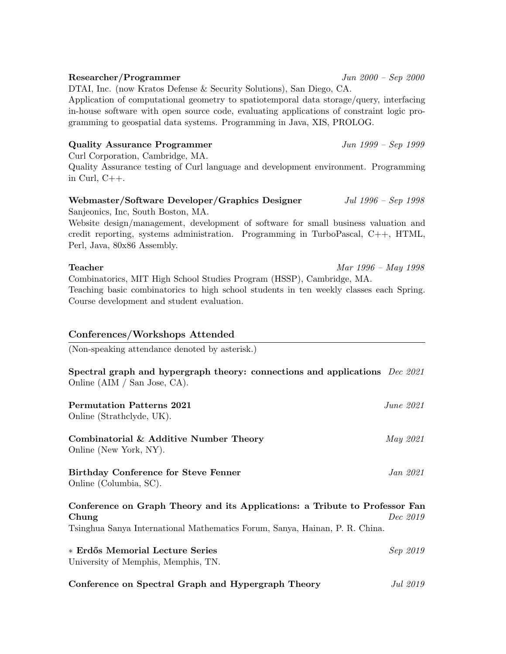# gramming to geospatial data systems. Programming in Java, XIS, PROLOG. Quality Assurance Programmer  $\frac{Jun 1999 - Sep 1999}{Jun 1999 - Sep 1999}$ Curl Corporation, Cambridge, MA. Quality Assurance testing of Curl language and development environment. Programming in Curl,  $C++$ .

Application of computational geometry to spatiotemporal data storage/query, interfacing in-house software with open source code, evaluating applications of constraint logic pro-

DTAI, Inc. (now Kratos Defense & Security Solutions), San Diego, CA.

# Webmaster/Software Developer/Graphics Designer *Jul 1996 – Sep 1998*

Sanjeonics, Inc, South Boston, MA.

Website design/management, development of software for small business valuation and credit reporting, systems administration. Programming in TurboPascal, C++, HTML, Perl, Java, 80x86 Assembly.

# Teacher Mar 1996 – May 1998

Combinatorics, MIT High School Studies Program (HSSP), Cambridge, MA. Teaching basic combinatorics to high school students in ten weekly classes each Spring. Course development and student evaluation.

# Conferences/Workshops Attended

(Non-speaking attendance denoted by asterisk.)

Spectral graph and hypergraph theory: connections and applications Dec 2021 Online (AIM / San Jose, CA).

| <b>Permutation Patterns 2021</b><br>Online (Strathclyde, UK).               | June 2021 |
|-----------------------------------------------------------------------------|-----------|
| Combinatorial & Additive Number Theory<br>Online (New York, NY).            | May 2021  |
| Birthday Conference for Steve Fenner<br>Online (Columbia, SC).              | Jan 2021  |
| Conference on Graph Theory and its Applications: a Tribute to Professor Fan |           |

**Chung** Dec 2019 Tsinghua Sanya International Mathematics Forum, Sanya, Hainan, P. R. China.

| * Erdős Memorial Lecture Series     | Sep 2019 |
|-------------------------------------|----------|
| University of Memphis, Memphis, TN. |          |
|                                     |          |

# Researcher/Programmer Jun 2000 – Sep 2000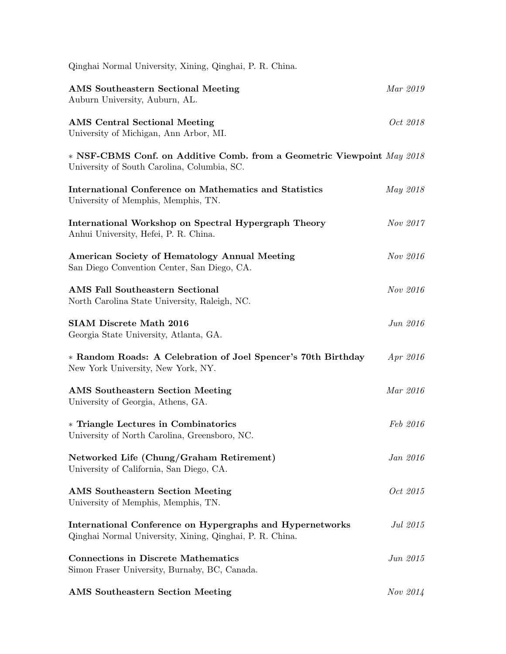| Qinghai Normal University, Xining, Qinghai, P. R. China.                                                              |                 |
|-----------------------------------------------------------------------------------------------------------------------|-----------------|
| <b>AMS</b> Southeastern Sectional Meeting<br>Auburn University, Auburn, AL.                                           | Mar 2019        |
| <b>AMS</b> Central Sectional Meeting<br>University of Michigan, Ann Arbor, MI.                                        | Oct 2018        |
| * NSF-CBMS Conf. on Additive Comb. from a Geometric Viewpoint May 2018<br>University of South Carolina, Columbia, SC. |                 |
| <b>International Conference on Mathematics and Statistics</b><br>University of Memphis, Memphis, TN.                  | May 2018        |
| International Workshop on Spectral Hypergraph Theory<br>Anhui University, Hefei, P. R. China.                         | Nov 2017        |
| American Society of Hematology Annual Meeting<br>San Diego Convention Center, San Diego, CA.                          | Nov 2016        |
| <b>AMS Fall Southeastern Sectional</b><br>North Carolina State University, Raleigh, NC.                               | Nov 2016        |
| <b>SIAM Discrete Math 2016</b><br>Georgia State University, Atlanta, GA.                                              | Jun 2016        |
| * Random Roads: A Celebration of Joel Spencer's 70th Birthday<br>New York University, New York, NY.                   | Apr 2016        |
| <b>AMS</b> Southeastern Section Meeting<br>University of Georgia, Athens, GA.                                         | Mar 2016        |
| * Triangle Lectures in Combinatorics<br>University of North Carolina, Greensboro, NC.                                 | Feb 2016        |
| Networked Life (Chung/Graham Retirement)<br>University of California, San Diego, CA.                                  | Jan 2016        |
| <b>AMS</b> Southeastern Section Meeting<br>University of Memphis, Memphis, TN.                                        | <i>Oct</i> 2015 |
| International Conference on Hypergraphs and Hypernetworks<br>Qinghai Normal University, Xining, Qinghai, P. R. China. | Jul 2015        |
| <b>Connections in Discrete Mathematics</b><br>Simon Fraser University, Burnaby, BC, Canada.                           | Jun 2015        |
| <b>AMS</b> Southeastern Section Meeting                                                                               | Nov 2014        |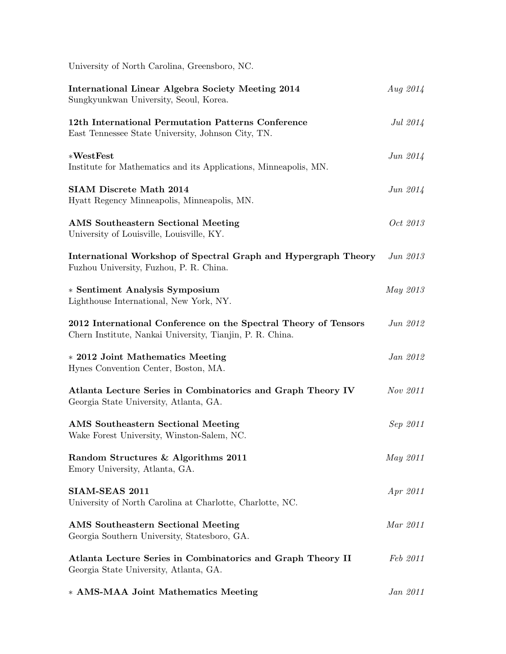| University of North Carolina, Greensboro, NC.                                                                                |            |
|------------------------------------------------------------------------------------------------------------------------------|------------|
| International Linear Algebra Society Meeting 2014<br>Sungkyunkwan University, Seoul, Korea.                                  | Aug $2014$ |
| 12th International Permutation Patterns Conference<br>East Tennessee State University, Johnson City, TN.                     | Jul 2014   |
| $*WestTest$<br>Institute for Mathematics and its Applications, Minneapolis, MN.                                              | Jun 2014   |
| <b>SIAM Discrete Math 2014</b><br>Hyatt Regency Minneapolis, Minneapolis, MN.                                                | Jun $2014$ |
| <b>AMS</b> Southeastern Sectional Meeting<br>University of Louisville, Louisville, KY.                                       | Oct 2013   |
| International Workshop of Spectral Graph and Hypergraph Theory<br>Fuzhou University, Fuzhou, P. R. China.                    | Jun 2013   |
| * Sentiment Analysis Symposium<br>Lighthouse International, New York, NY.                                                    | May 2013   |
| 2012 International Conference on the Spectral Theory of Tensors<br>Chern Institute, Nankai University, Tianjin, P. R. China. | Jun 2012   |
| * 2012 Joint Mathematics Meeting<br>Hynes Convention Center, Boston, MA.                                                     | Jan 2012   |
| Atlanta Lecture Series in Combinatorics and Graph Theory IV<br>Georgia State University, Atlanta, GA.                        | Nov 2011   |
| <b>AMS</b> Southeastern Sectional Meeting<br>Wake Forest University, Winston-Salem, NC.                                      | Sep 2011   |
| Random Structures & Algorithms 2011<br>Emory University, Atlanta, GA.                                                        | May 2011   |
| SIAM-SEAS 2011<br>University of North Carolina at Charlotte, Charlotte, NC.                                                  | Apr 2011   |
| <b>AMS</b> Southeastern Sectional Meeting<br>Georgia Southern University, Statesboro, GA.                                    | Mar 2011   |
| Atlanta Lecture Series in Combinatorics and Graph Theory II<br>Georgia State University, Atlanta, GA.                        | Feb 2011   |
| * AMS-MAA Joint Mathematics Meeting                                                                                          | Jan 2011   |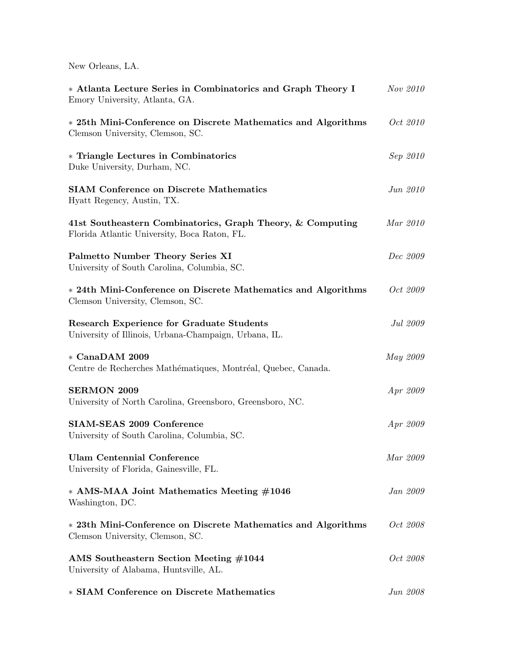New Orleans, LA.

| * Atlanta Lecture Series in Combinatorics and Graph Theory I<br>Emory University, Atlanta, GA.             | Nov 2010        |
|------------------------------------------------------------------------------------------------------------|-----------------|
| * 25th Mini-Conference on Discrete Mathematics and Algorithms<br>Clemson University, Clemson, SC.          | <i>Oct</i> 2010 |
| * Triangle Lectures in Combinatorics<br>Duke University, Durham, NC.                                       | Sep 2010        |
| <b>SIAM Conference on Discrete Mathematics</b><br>Hyatt Regency, Austin, TX.                               | Jun 2010        |
| 41st Southeastern Combinatorics, Graph Theory, & Computing<br>Florida Atlantic University, Boca Raton, FL. | Mar 2010        |
| Palmetto Number Theory Series XI<br>University of South Carolina, Columbia, SC.                            | Dec 2009        |
| * 24th Mini-Conference on Discrete Mathematics and Algorithms<br>Clemson University, Clemson, SC.          | Oct 2009        |
| <b>Research Experience for Graduate Students</b><br>University of Illinois, Urbana-Champaign, Urbana, IL.  | Jul 2009        |
| * CanaDAM 2009<br>Centre de Recherches Mathématiques, Montréal, Quebec, Canada.                            | May 2009        |
| <b>SERMON 2009</b><br>University of North Carolina, Greensboro, Greensboro, NC.                            | Apr 2009        |
| SIAM-SEAS 2009 Conference<br>University of South Carolina, Columbia, SC.                                   | Apr 2009        |
| <b>Ulam Centennial Conference</b><br>University of Florida, Gainesville, FL.                               | Mar 2009        |
| * AMS-MAA Joint Mathematics Meeting #1046<br>Washington, DC.                                               | Jan 2009        |
| * 23th Mini-Conference on Discrete Mathematics and Algorithms<br>Clemson University, Clemson, SC.          | Oct 2008        |
| AMS Southeastern Section Meeting #1044<br>University of Alabama, Huntsville, AL.                           | Oct 2008        |
| * SIAM Conference on Discrete Mathematics                                                                  | Jun 2008        |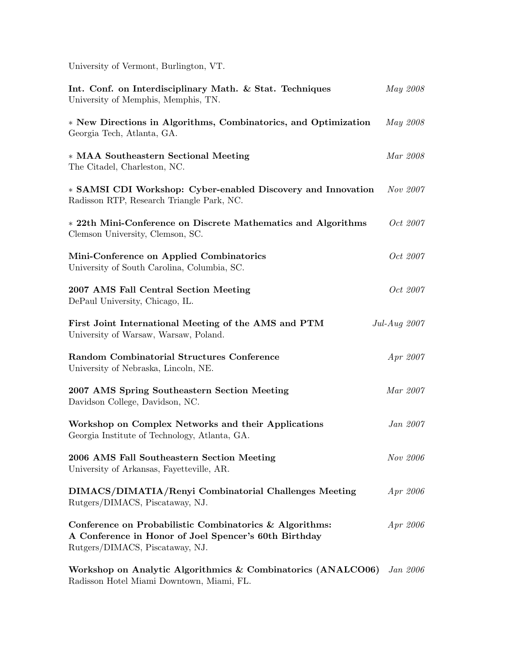University of Vermont, Burlington, VT.

| Int. Conf. on Interdisciplinary Math. & Stat. Techniques<br>University of Memphis, Memphis, TN.                                                     | May 2008        |  |
|-----------------------------------------------------------------------------------------------------------------------------------------------------|-----------------|--|
| * New Directions in Algorithms, Combinatorics, and Optimization<br>Georgia Tech, Atlanta, GA.                                                       | May 2008        |  |
| * MAA Southeastern Sectional Meeting<br>The Citadel, Charleston, NC.                                                                                | Mar 2008        |  |
| * SAMSI CDI Workshop: Cyber-enabled Discovery and Innovation<br>Radisson RTP, Research Triangle Park, NC.                                           | Nov 2007        |  |
| * 22th Mini-Conference on Discrete Mathematics and Algorithms<br>Clemson University, Clemson, SC.                                                   | Oct 2007        |  |
| Mini-Conference on Applied Combinatorics<br>University of South Carolina, Columbia, SC.                                                             | Oct 2007        |  |
| 2007 AMS Fall Central Section Meeting<br>DePaul University, Chicago, IL.                                                                            | Oct 2007        |  |
| First Joint International Meeting of the AMS and PTM<br>University of Warsaw, Warsaw, Poland.                                                       | Jul-Aug 2007    |  |
| Random Combinatorial Structures Conference<br>University of Nebraska, Lincoln, NE.                                                                  | Apr 2007        |  |
| 2007 AMS Spring Southeastern Section Meeting<br>Davidson College, Davidson, NC.                                                                     | Mar 2007        |  |
| Workshop on Complex Networks and their Applications<br>Georgia Institute of Technology, Atlanta, GA.                                                | Jan 2007        |  |
| 2006 AMS Fall Southeastern Section Meeting<br>University of Arkansas, Fayetteville, AR.                                                             | Nov 2006        |  |
| DIMACS/DIMATIA/Renyi Combinatorial Challenges Meeting<br>Rutgers/DIMACS, Piscataway, NJ.                                                            | Apr 2006        |  |
| Conference on Probabilistic Combinatorics & Algorithms:<br>A Conference in Honor of Joel Spencer's 60th Birthday<br>Rutgers/DIMACS, Piscataway, NJ. | Apr 2006        |  |
| Workshop on Analytic Algorithmics & Combinatorics (ANALCO06)                                                                                        | <i>Jan 2006</i> |  |

Radisson Hotel Miami Downtown, Miami, FL.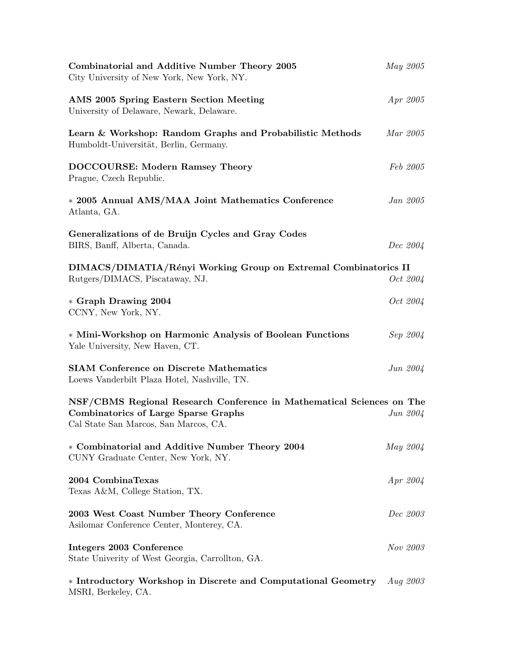| Combinatorial and Additive Number Theory 2005<br>City University of New York, New York, NY.                                                                   | May 2005   |                 |
|---------------------------------------------------------------------------------------------------------------------------------------------------------------|------------|-----------------|
| AMS 2005 Spring Eastern Section Meeting<br>University of Delaware, Newark, Delaware.                                                                          |            | <i>Apr</i> 2005 |
| Learn & Workshop: Random Graphs and Probabilistic Methods<br>Humboldt-Universität, Berlin, Germany.                                                           | Mar 2005   |                 |
| DOCCOURSE: Modern Ramsey Theory<br>Prague, Czech Republic.                                                                                                    |            | Feb 2005        |
| * 2005 Annual AMS/MAA Joint Mathematics Conference<br>Atlanta, GA.                                                                                            |            | <i>Jan 2005</i> |
| Generalizations of de Bruijn Cycles and Gray Codes<br>BIRS, Banff, Alberta, Canada.                                                                           |            | Dec 2004        |
| DIMACS/DIMATIA/Rényi Working Group on Extremal Combinatorics II<br>Rutgers/DIMACS, Piscataway, NJ.                                                            |            | Oct 2004        |
| * Graph Drawing 2004<br>CCNY, New York, NY.                                                                                                                   |            | <i>Oct</i> 2004 |
| * Mini-Workshop on Harmonic Analysis of Boolean Functions<br>Yale University, New Haven, CT.                                                                  |            | Sep 2004        |
| <b>SIAM Conference on Discrete Mathematics</b><br>Loews Vanderbilt Plaza Hotel, Nashville, TN.                                                                |            | Jun $2004$      |
| NSF/CBMS Regional Research Conference in Mathematical Sciences on The<br><b>Combinatorics of Large Sparse Graphs</b><br>Cal State San Marcos, San Marcos, CA. |            | $Jun\ 2004$     |
| * Combinatorial and Additive Number Theory 2004<br>CUNY Graduate Center, New York, NY.                                                                        | May 2004   |                 |
| 2004 CombinaTexas<br>Texas A&M, College Station, TX.                                                                                                          | Apr 2004   |                 |
| 2003 West Coast Number Theory Conference<br>Asilomar Conference Center, Monterey, CA.                                                                         |            | Dec 2003        |
| Integers 2003 Conference<br>State Univerity of West Georgia, Carrollton, GA.                                                                                  |            | Nov 2003        |
| * Introductory Workshop in Discrete and Computational Geometry<br>MSRI, Berkeley, CA.                                                                         | Aug $2003$ |                 |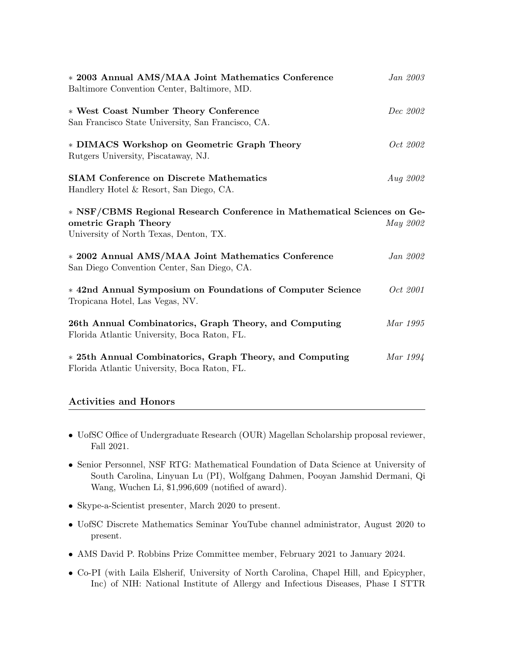| Jan 2003                                                                |
|-------------------------------------------------------------------------|
| Dec 2002                                                                |
| Oct 2002                                                                |
| <i>Aug 2002</i>                                                         |
| * NSF/CBMS Regional Research Conference in Mathematical Sciences on Ge- |
| May 2002                                                                |
| Jan 2002                                                                |
| <i>Oct</i> 2001                                                         |
| Mar 1995                                                                |
| Mar 1994                                                                |
|                                                                         |

# Activities and Honors

- UofSC Office of Undergraduate Research (OUR) Magellan Scholarship proposal reviewer, Fall 2021.
- Senior Personnel, NSF RTG: Mathematical Foundation of Data Science at University of South Carolina, Linyuan Lu (PI), Wolfgang Dahmen, Pooyan Jamshid Dermani, Qi Wang, Wuchen Li, \$1,996,609 (notified of award).
- Skype-a-Scientist presenter, March 2020 to present.
- UofSC Discrete Mathematics Seminar YouTube channel administrator, August 2020 to present.
- AMS David P. Robbins Prize Committee member, February 2021 to January 2024.
- Co-PI (with Laila Elsherif, University of North Carolina, Chapel Hill, and Epicypher, Inc) of NIH: National Institute of Allergy and Infectious Diseases, Phase I STTR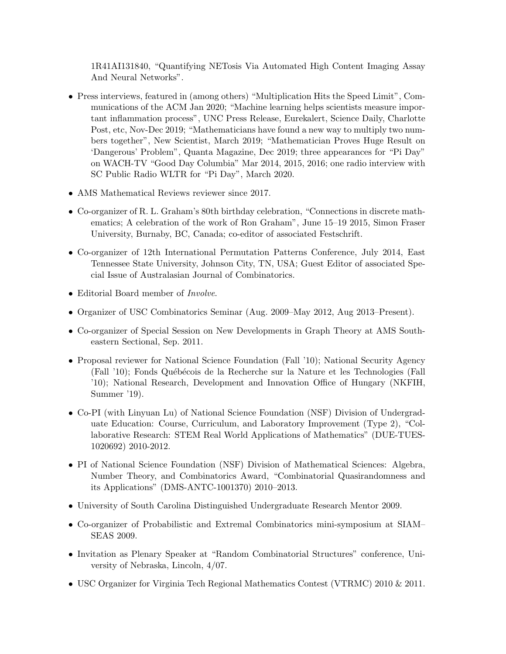1R41AI131840, "Quantifying NETosis Via Automated High Content Imaging Assay And Neural Networks".

- Press interviews, featured in (among others) "Multiplication Hits the Speed Limit", Communications of the ACM Jan 2020; "Machine learning helps scientists measure important inflammation process", UNC Press Release, Eurekalert, Science Daily, Charlotte Post, etc, Nov-Dec 2019; "Mathematicians have found a new way to multiply two numbers together", New Scientist, March 2019; "Mathematician Proves Huge Result on 'Dangerous' Problem", Quanta Magazine, Dec 2019; three appearances for "Pi Day" on WACH-TV "Good Day Columbia" Mar 2014, 2015, 2016; one radio interview with SC Public Radio WLTR for "Pi Day", March 2020.
- AMS Mathematical Reviews reviewer since 2017.
- Co-organizer of R. L. Graham's 80th birthday celebration, "Connections in discrete mathematics; A celebration of the work of Ron Graham", June 15–19 2015, Simon Fraser University, Burnaby, BC, Canada; co-editor of associated Festschrift.
- Co-organizer of 12th International Permutation Patterns Conference, July 2014, East Tennessee State University, Johnson City, TN, USA; Guest Editor of associated Special Issue of Australasian Journal of Combinatorics.
- Editorial Board member of *Involve*.
- Organizer of USC Combinatorics Seminar (Aug. 2009–May 2012, Aug 2013–Present).
- Co-organizer of Special Session on New Developments in Graph Theory at AMS Southeastern Sectional, Sep. 2011.
- Proposal reviewer for National Science Foundation (Fall '10); National Security Agency (Fall '10); Fonds Québécois de la Recherche sur la Nature et les Technologies (Fall '10); National Research, Development and Innovation Office of Hungary (NKFIH, Summer '19).
- Co-PI (with Linyuan Lu) of National Science Foundation (NSF) Division of Undergraduate Education: Course, Curriculum, and Laboratory Improvement (Type 2), "Collaborative Research: STEM Real World Applications of Mathematics" (DUE-TUES-1020692) 2010-2012.
- PI of National Science Foundation (NSF) Division of Mathematical Sciences: Algebra, Number Theory, and Combinatorics Award, "Combinatorial Quasirandomness and its Applications" (DMS-ANTC-1001370) 2010–2013.
- University of South Carolina Distinguished Undergraduate Research Mentor 2009.
- Co-organizer of Probabilistic and Extremal Combinatorics mini-symposium at SIAM– SEAS 2009.
- Invitation as Plenary Speaker at "Random Combinatorial Structures" conference, University of Nebraska, Lincoln, 4/07.
- USC Organizer for Virginia Tech Regional Mathematics Contest (VTRMC) 2010 & 2011.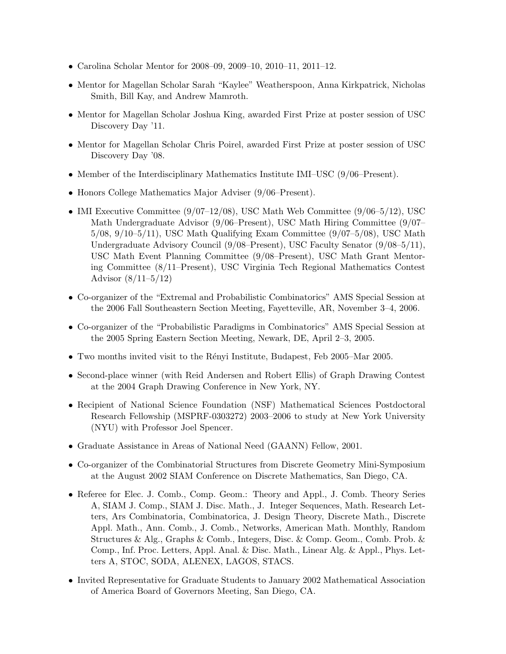- Carolina Scholar Mentor for 2008–09, 2009–10, 2010–11, 2011–12.
- Mentor for Magellan Scholar Sarah "Kaylee" Weatherspoon, Anna Kirkpatrick, Nicholas Smith, Bill Kay, and Andrew Mamroth.
- Mentor for Magellan Scholar Joshua King, awarded First Prize at poster session of USC Discovery Day '11.
- Mentor for Magellan Scholar Chris Poirel, awarded First Prize at poster session of USC Discovery Day '08.
- Member of the Interdisciplinary Mathematics Institute IMI–USC (9/06–Present).
- Honors College Mathematics Major Adviser (9/06–Present).
- IMI Executive Committee  $(9/07-12/08)$ , USC Math Web Committee  $(9/06-5/12)$ , USC Math Undergraduate Advisor (9/06–Present), USC Math Hiring Committee (9/07– 5/08, 9/10–5/11), USC Math Qualifying Exam Committee (9/07–5/08), USC Math Undergraduate Advisory Council (9/08–Present), USC Faculty Senator (9/08–5/11), USC Math Event Planning Committee (9/08–Present), USC Math Grant Mentoring Committee (8/11–Present), USC Virginia Tech Regional Mathematics Contest Advisor (8/11–5/12)
- Co-organizer of the "Extremal and Probabilistic Combinatorics" AMS Special Session at the 2006 Fall Southeastern Section Meeting, Fayetteville, AR, November 3–4, 2006.
- Co-organizer of the "Probabilistic Paradigms in Combinatorics" AMS Special Session at the 2005 Spring Eastern Section Meeting, Newark, DE, April 2–3, 2005.
- Two months invited visit to the Rényi Institute, Budapest, Feb 2005–Mar 2005.
- Second-place winner (with Reid Andersen and Robert Ellis) of Graph Drawing Contest at the 2004 Graph Drawing Conference in New York, NY.
- Recipient of National Science Foundation (NSF) Mathematical Sciences Postdoctoral Research Fellowship (MSPRF-0303272) 2003–2006 to study at New York University (NYU) with Professor Joel Spencer.
- Graduate Assistance in Areas of National Need (GAANN) Fellow, 2001.
- Co-organizer of the Combinatorial Structures from Discrete Geometry Mini-Symposium at the August 2002 SIAM Conference on Discrete Mathematics, San Diego, CA.
- Referee for Elec. J. Comb., Comp. Geom.: Theory and Appl., J. Comb. Theory Series A, SIAM J. Comp., SIAM J. Disc. Math., J. Integer Sequences, Math. Research Letters, Ars Combinatoria, Combinatorica, J. Design Theory, Discrete Math., Discrete Appl. Math., Ann. Comb., J. Comb., Networks, American Math. Monthly, Random Structures & Alg., Graphs & Comb., Integers, Disc. & Comp. Geom., Comb. Prob. & Comp., Inf. Proc. Letters, Appl. Anal. & Disc. Math., Linear Alg. & Appl., Phys. Letters A, STOC, SODA, ALENEX, LAGOS, STACS.
- Invited Representative for Graduate Students to January 2002 Mathematical Association of America Board of Governors Meeting, San Diego, CA.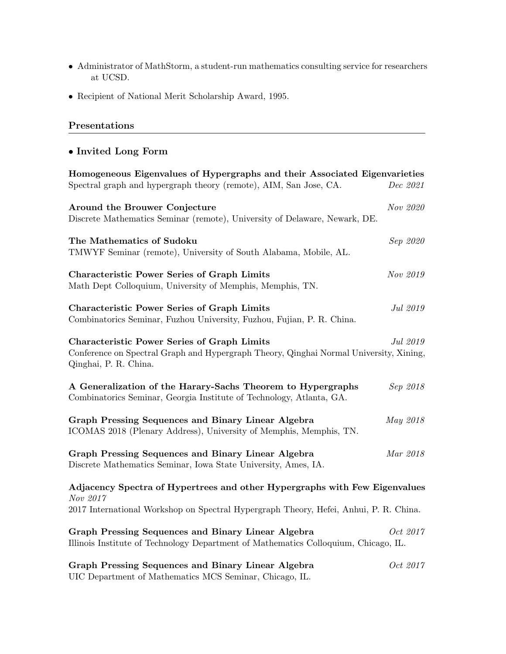- Administrator of MathStorm, a student-run mathematics consulting service for researchers at UCSD.
- Recipient of National Merit Scholarship Award, 1995.

# Presentations

# • Invited Long Form

| Homogeneous Eigenvalues of Hypergraphs and their Associated Eigenvarieties                                                                                            |          |
|-----------------------------------------------------------------------------------------------------------------------------------------------------------------------|----------|
| Spectral graph and hypergraph theory (remote), AIM, San Jose, CA.                                                                                                     | Dec 2021 |
| Around the Brouwer Conjecture<br>Discrete Mathematics Seminar (remote), University of Delaware, Newark, DE.                                                           | Nov 2020 |
| The Mathematics of Sudoku<br>TMWYF Seminar (remote), University of South Alabama, Mobile, AL.                                                                         | Sep 2020 |
| <b>Characteristic Power Series of Graph Limits</b><br>Math Dept Colloquium, University of Memphis, Memphis, TN.                                                       | Nov 2019 |
| <b>Characteristic Power Series of Graph Limits</b><br>Combinatorics Seminar, Fuzhou University, Fuzhou, Fujian, P. R. China.                                          | Jul 2019 |
| <b>Characteristic Power Series of Graph Limits</b><br>Conference on Spectral Graph and Hypergraph Theory, Qinghai Normal University, Xining,<br>Qinghai, P. R. China. | Jul 2019 |
| A Generalization of the Harary-Sachs Theorem to Hypergraphs<br>Combinatorics Seminar, Georgia Institute of Technology, Atlanta, GA.                                   | Sep 2018 |
| Graph Pressing Sequences and Binary Linear Algebra<br>ICOMAS 2018 (Plenary Address), University of Memphis, Memphis, TN.                                              | May 2018 |
| Graph Pressing Sequences and Binary Linear Algebra<br>Discrete Mathematics Seminar, Iowa State University, Ames, IA.                                                  | Mar 2018 |
| Adjacency Spectra of Hypertrees and other Hypergraphs with Few Eigenvalues<br>Nov 2017                                                                                |          |
| 2017 International Workshop on Spectral Hypergraph Theory, Hefei, Anhui, P. R. China.                                                                                 |          |
| Graph Pressing Sequences and Binary Linear Algebra<br>Illinois Institute of Technology Department of Mathematics Colloquium, Chicago, IL.                             | Oct 2017 |
| Graph Pressing Sequences and Binary Linear Algebra                                                                                                                    | Oct 2017 |

UIC Department of Mathematics MCS Seminar, Chicago, IL.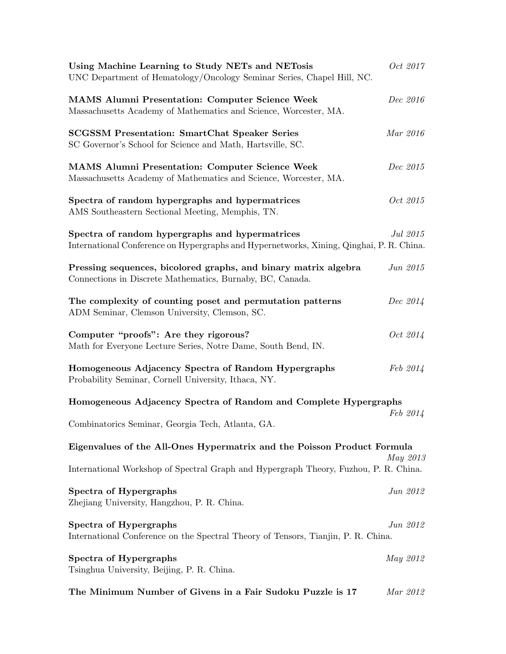| Using Machine Learning to Study NETs and NETosis<br>UNC Department of Hematology/Oncology Seminar Series, Chapel Hill, NC.                  | Oct 2017        |
|---------------------------------------------------------------------------------------------------------------------------------------------|-----------------|
| <b>MAMS Alumni Presentation: Computer Science Week</b><br>Massachusetts Academy of Mathematics and Science, Worcester, MA.                  | Dec 2016        |
| <b>SCGSSM Presentation: SmartChat Speaker Series</b><br>SC Governor's School for Science and Math, Hartsville, SC.                          | Mar 2016        |
| <b>MAMS Alumni Presentation: Computer Science Week</b><br>Massachusetts Academy of Mathematics and Science, Worcester, MA.                  | Dec 2015        |
| Spectra of random hypergraphs and hypermatrices<br>AMS Southeastern Sectional Meeting, Memphis, TN.                                         | Oct 2015        |
| Spectra of random hypergraphs and hypermatrices<br>International Conference on Hypergraphs and Hypernetworks, Xining, Qinghai, P. R. China. | Jul 2015        |
| Pressing sequences, bicolored graphs, and binary matrix algebra<br>Connections in Discrete Mathematics, Burnaby, BC, Canada.                | Jun 2015        |
| The complexity of counting poset and permutation patterns<br>ADM Seminar, Clemson University, Clemson, SC.                                  | Dec 2014        |
| Computer "proofs": Are they rigorous?<br>Math for Everyone Lecture Series, Notre Dame, South Bend, IN.                                      | <i>Oct</i> 2014 |
| Homogeneous Adjacency Spectra of Random Hypergraphs<br>Probability Seminar, Cornell University, Ithaca, NY.                                 | Feb 2014        |
| Homogeneous Adjacency Spectra of Random and Complete Hypergraphs                                                                            |                 |
| Combinatorics Seminar, Georgia Tech, Atlanta, GA.                                                                                           | Feb 2014        |
| Eigenvalues of the All-Ones Hypermatrix and the Poisson Product Formula                                                                     | May 2013        |
| International Workshop of Spectral Graph and Hypergraph Theory, Fuzhou, P. R. China.                                                        |                 |
| Spectra of Hypergraphs<br>Zhejiang University, Hangzhou, P. R. China.                                                                       | Jun 2012        |
| Spectra of Hypergraphs<br>International Conference on the Spectral Theory of Tensors, Tianjin, P. R. China.                                 | Jun 2012        |
| Spectra of Hypergraphs<br>Tsinghua University, Beijing, P. R. China.                                                                        | May 2012        |
| The Minimum Number of Givens in a Fair Sudoku Puzzle is 17                                                                                  | Mar 2012        |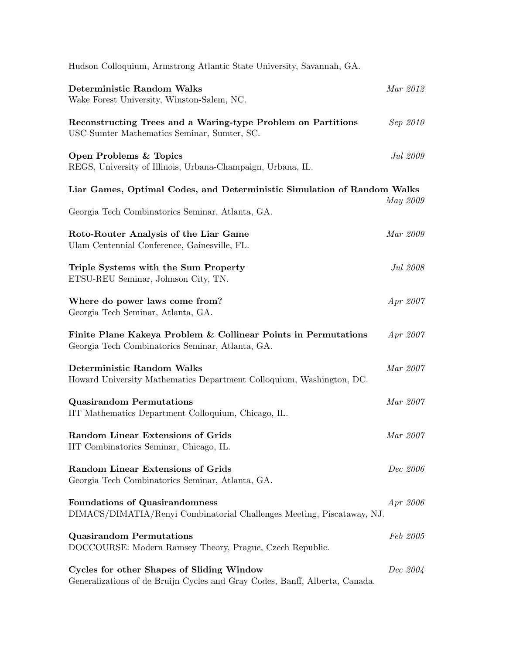| Hudson Colloquium, Armstrong Atlantic State University, Savannah, GA.                                                    |                 |
|--------------------------------------------------------------------------------------------------------------------------|-----------------|
| <b>Deterministic Random Walks</b><br>Wake Forest University, Winston-Salem, NC.                                          | Mar 2012        |
| Reconstructing Trees and a Waring-type Problem on Partitions<br>USC-Sumter Mathematics Seminar, Sumter, SC.              | Sep 2010        |
| Open Problems & Topics<br>REGS, University of Illinois, Urbana-Champaign, Urbana, IL.                                    | Jul 2009        |
| Liar Games, Optimal Codes, and Deterministic Simulation of Random Walks                                                  |                 |
| Georgia Tech Combinatorics Seminar, Atlanta, GA.                                                                         | May 2009        |
| Roto-Router Analysis of the Liar Game<br>Ulam Centennial Conference, Gainesville, FL.                                    | Mar 2009        |
| Triple Systems with the Sum Property<br>ETSU-REU Seminar, Johnson City, TN.                                              | Jul 2008        |
| Where do power laws come from?<br>Georgia Tech Seminar, Atlanta, GA.                                                     | Apr 2007        |
| Finite Plane Kakeya Problem & Collinear Points in Permutations<br>Georgia Tech Combinatorics Seminar, Atlanta, GA.       | Apr 2007        |
| <b>Deterministic Random Walks</b><br>Howard University Mathematics Department Colloquium, Washington, DC.                | Mar 2007        |
| <b>Quasirandom Permutations</b><br>IIT Mathematics Department Colloquium, Chicago, IL.                                   | Mar 2007        |
| <b>Random Linear Extensions of Grids</b><br>IIT Combinatorics Seminar, Chicago, IL.                                      | Mar 2007        |
| <b>Random Linear Extensions of Grids</b><br>Georgia Tech Combinatorics Seminar, Atlanta, GA.                             | Dec 2006        |
| <b>Foundations of Quasirandomness</b><br>DIMACS/DIMATIA/Renyi Combinatorial Challenges Meeting, Piscataway, NJ.          | Apr 2006        |
| <b>Quasirandom Permutations</b><br>DOCCOURSE: Modern Ramsey Theory, Prague, Czech Republic.                              | <i>Feb 2005</i> |
| Cycles for other Shapes of Sliding Window<br>Generalizations of de Bruijn Cycles and Gray Codes, Banff, Alberta, Canada. | <i>Dec</i> 2004 |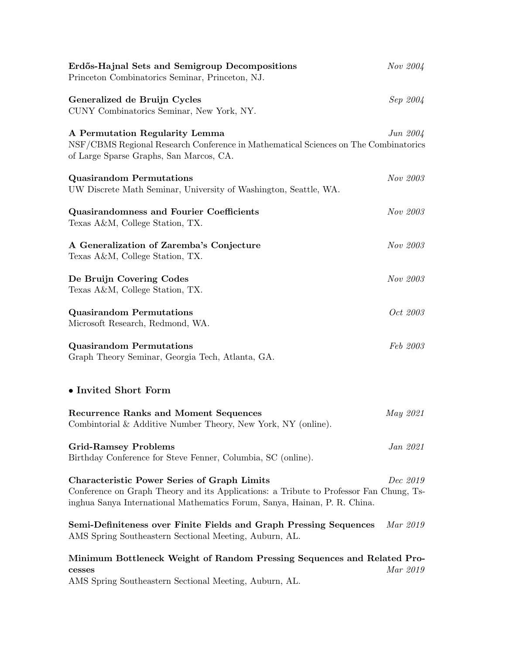| Erdős-Hajnal Sets and Semigroup Decompositions<br>Princeton Combinatorics Seminar, Princeton, NJ.                                                                                                                         | Nov 2004    |
|---------------------------------------------------------------------------------------------------------------------------------------------------------------------------------------------------------------------------|-------------|
| Generalized de Bruijn Cycles<br>CUNY Combinatorics Seminar, New York, NY.                                                                                                                                                 | Sep 2004    |
| A Permutation Regularity Lemma<br>NSF/CBMS Regional Research Conference in Mathematical Sciences on The Combinatorics<br>of Large Sparse Graphs, San Marcos, CA.                                                          | $Jun\ 2004$ |
| <b>Quasirandom Permutations</b><br>UW Discrete Math Seminar, University of Washington, Seattle, WA.                                                                                                                       | Nov 2003    |
| <b>Quasirandomness and Fourier Coefficients</b><br>Texas A&M, College Station, TX.                                                                                                                                        | Nov 2003    |
| A Generalization of Zaremba's Conjecture<br>Texas A&M, College Station, TX.                                                                                                                                               | Nov 2003    |
| De Bruijn Covering Codes<br>Texas A&M, College Station, TX.                                                                                                                                                               | Nov 2003    |
| <b>Quasirandom Permutations</b><br>Microsoft Research, Redmond, WA.                                                                                                                                                       | Oct 2003    |
| <b>Quasirandom Permutations</b><br>Graph Theory Seminar, Georgia Tech, Atlanta, GA.                                                                                                                                       | Feb 2003    |
| • Invited Short Form                                                                                                                                                                                                      |             |
| <b>Recurrence Ranks and Moment Sequences</b><br>Combintorial & Additive Number Theory, New York, NY (online).                                                                                                             | May 2021    |
| <b>Grid-Ramsey Problems</b><br>Birthday Conference for Steve Fenner, Columbia, SC (online).                                                                                                                               | Jan 2021    |
| <b>Characteristic Power Series of Graph Limits</b><br>Conference on Graph Theory and its Applications: a Tribute to Professor Fan Chung, Ts-<br>inghua Sanya International Mathematics Forum, Sanya, Hainan, P. R. China. | Dec 2019    |
| Semi-Definiteness over Finite Fields and Graph Pressing Sequences<br>AMS Spring Southeastern Sectional Meeting, Auburn, AL.                                                                                               | Mar 2019    |
| Minimum Bottleneck Weight of Random Pressing Sequences and Related Pro-<br>cesses<br>AMS Spring Southeastern Sectional Meeting, Auburn, AL.                                                                               | Mar 2019    |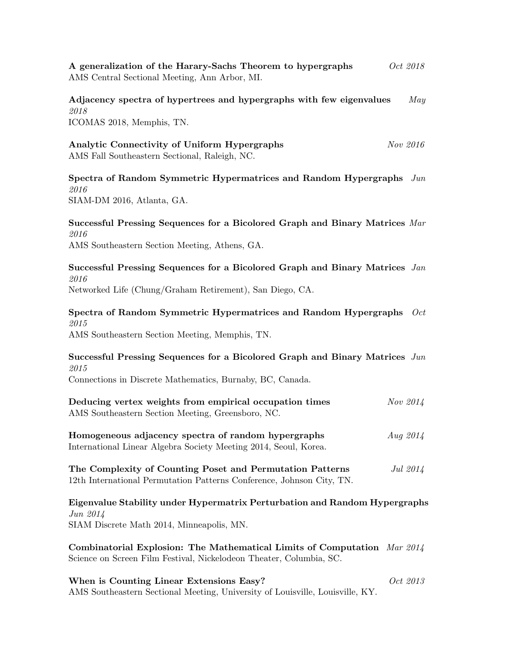A generalization of the Harary-Sachs Theorem to hypergraphs  $Oct$  2018 AMS Central Sectional Meeting, Ann Arbor, MI.

Adjacency spectra of hypertrees and hypergraphs with few eigenvalues May 2018 ICOMAS 2018, Memphis, TN.

Analytic Connectivity of Uniform Hypergraphs  $Nov$  2016 AMS Fall Southeastern Sectional, Raleigh, NC.

Spectra of Random Symmetric Hypermatrices and Random Hypergraphs Jun 2016 SIAM-DM 2016, Atlanta, GA.

# Successful Pressing Sequences for a Bicolored Graph and Binary Matrices Mar 2016 AMS Southeastern Section Meeting, Athens, GA.

Successful Pressing Sequences for a Bicolored Graph and Binary Matrices Jan 2016

Networked Life (Chung/Graham Retirement), San Diego, CA.

Spectra of Random Symmetric Hypermatrices and Random Hypergraphs Oct 2015

AMS Southeastern Section Meeting, Memphis, TN.

Successful Pressing Sequences for a Bicolored Graph and Binary Matrices Jun 2015

Connections in Discrete Mathematics, Burnaby, BC, Canada.

| Deducing vertex weights from empirical occupation times<br>AMS Southeastern Section Meeting, Greensboro, NC.                       | Nov 2014   |
|------------------------------------------------------------------------------------------------------------------------------------|------------|
| Homogeneous adjacency spectra of random hypergraphs<br>International Linear Algebra Society Meeting 2014, Seoul, Korea.            | Aug $2014$ |
| The Complexity of Counting Poset and Permutation Patterns<br>12th International Permutation Patterns Conference, Johnson City, TN. | Jul 2014   |

Eigenvalue Stability under Hypermatrix Perturbation and Random Hypergraphs Jun 2014 SIAM Discrete Math 2014, Minneapolis, MN.

Combinatorial Explosion: The Mathematical Limits of Computation Mar 2014 Science on Screen Film Festival, Nickelodeon Theater, Columbia, SC.

When is Counting Linear Extensions Easy?  $Oct 2013$ AMS Southeastern Sectional Meeting, University of Louisville, Louisville, KY.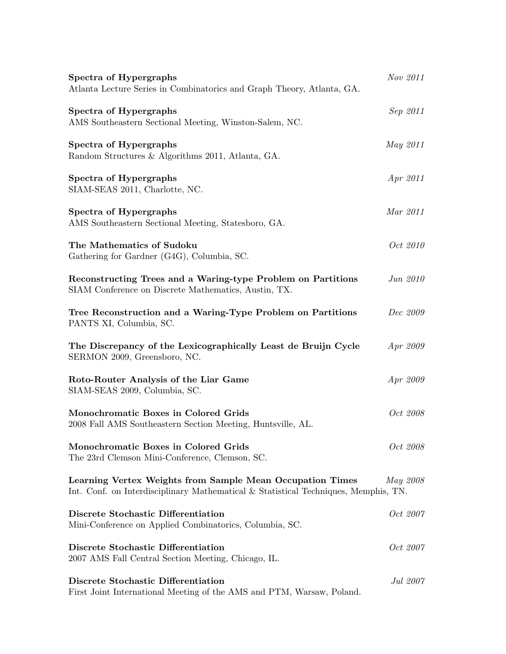| Spectra of Hypergraphs<br>Atlanta Lecture Series in Combinatorics and Graph Theory, Atlanta, GA.                                                 | Nov 2011        |
|--------------------------------------------------------------------------------------------------------------------------------------------------|-----------------|
| Spectra of Hypergraphs<br>AMS Southeastern Sectional Meeting, Winston-Salem, NC.                                                                 | Sep 2011        |
| Spectra of Hypergraphs<br>Random Structures & Algorithms 2011, Atlanta, GA.                                                                      | <i>May</i> 2011 |
| Spectra of Hypergraphs<br>SIAM-SEAS 2011, Charlotte, NC.                                                                                         | <i>Apr 2011</i> |
| Spectra of Hypergraphs<br>AMS Southeastern Sectional Meeting, Statesboro, GA.                                                                    | Mar 2011        |
| The Mathematics of Sudoku<br>Gathering for Gardner (G4G), Columbia, SC.                                                                          | Oct 2010        |
| Reconstructing Trees and a Waring-type Problem on Partitions<br>SIAM Conference on Discrete Mathematics, Austin, TX.                             | Jun 2010        |
| Tree Reconstruction and a Waring-Type Problem on Partitions<br>PANTS XI, Columbia, SC.                                                           | Dec 2009        |
| The Discrepancy of the Lexicographically Least de Bruijn Cycle<br>SERMON 2009, Greensboro, NC.                                                   | Apr 2009        |
| Roto-Router Analysis of the Liar Game<br>SIAM-SEAS 2009, Columbia, SC.                                                                           | Apr 2009        |
| Monochromatic Boxes in Colored Grids<br>2008 Fall AMS Southeastern Section Meeting, Huntsville, AL.                                              | Oct 2008        |
| Monochromatic Boxes in Colored Grids<br>The 23rd Clemson Mini-Conference, Clemson, SC.                                                           | Oct 2008        |
| Learning Vertex Weights from Sample Mean Occupation Times<br>Int. Conf. on Interdisciplinary Mathematical & Statistical Techniques, Memphis, TN. | May 2008        |
| Discrete Stochastic Differentiation<br>Mini-Conference on Applied Combinatorics, Columbia, SC.                                                   | Oct 2007        |
| Discrete Stochastic Differentiation<br>2007 AMS Fall Central Section Meeting, Chicago, IL.                                                       | <i>Oct 2007</i> |
| Discrete Stochastic Differentiation<br>First Joint International Meeting of the AMS and PTM, Warsaw, Poland.                                     | Jul 2007        |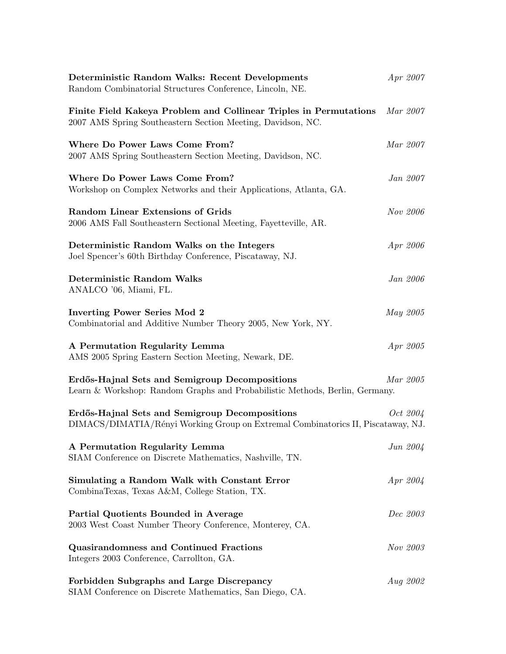| Deterministic Random Walks: Recent Developments<br>Random Combinatorial Structures Conference, Lincoln, NE.                        | Apr 2007        |  |
|------------------------------------------------------------------------------------------------------------------------------------|-----------------|--|
| Finite Field Kakeya Problem and Collinear Triples in Permutations<br>2007 AMS Spring Southeastern Section Meeting, Davidson, NC.   | Mar 2007        |  |
| Where Do Power Laws Come From?<br>2007 AMS Spring Southeastern Section Meeting, Davidson, NC.                                      | Mar 2007        |  |
| Where Do Power Laws Come From?<br>Workshop on Complex Networks and their Applications, Atlanta, GA.                                | Jan 2007        |  |
| <b>Random Linear Extensions of Grids</b><br>2006 AMS Fall Southeastern Sectional Meeting, Fayetteville, AR.                        | Nov 2006        |  |
| Deterministic Random Walks on the Integers<br>Joel Spencer's 60th Birthday Conference, Piscataway, NJ.                             | Apr 2006        |  |
| <b>Deterministic Random Walks</b><br>ANALCO '06, Miami, FL.                                                                        | <i>Jan 2006</i> |  |
| <b>Inverting Power Series Mod 2</b><br>Combinatorial and Additive Number Theory 2005, New York, NY.                                | May 2005        |  |
| A Permutation Regularity Lemma<br>AMS 2005 Spring Eastern Section Meeting, Newark, DE.                                             | Apr 2005        |  |
| Erdős-Hajnal Sets and Semigroup Decompositions<br>Learn & Workshop: Random Graphs and Probabilistic Methods, Berlin, Germany.      | Mar 2005        |  |
| Erdős-Hajnal Sets and Semigroup Decompositions<br>DIMACS/DIMATIA/Rényi Working Group on Extremal Combinatorics II, Piscataway, NJ. | <i>Oct</i> 2004 |  |
| A Permutation Regularity Lemma<br>SIAM Conference on Discrete Mathematics, Nashville, TN.                                          | Jun 2004        |  |
| Simulating a Random Walk with Constant Error<br>CombinaTexas, Texas A&M, College Station, TX.                                      | Apr 2004        |  |
| Partial Quotients Bounded in Average<br>2003 West Coast Number Theory Conference, Monterey, CA.                                    | Dec 2003        |  |
| <b>Quasirandomness and Continued Fractions</b><br>Integers 2003 Conference, Carrollton, GA.                                        | Nov 2003        |  |
| Forbidden Subgraphs and Large Discrepancy<br>SIAM Conference on Discrete Mathematics, San Diego, CA.                               | <i>Aug 2002</i> |  |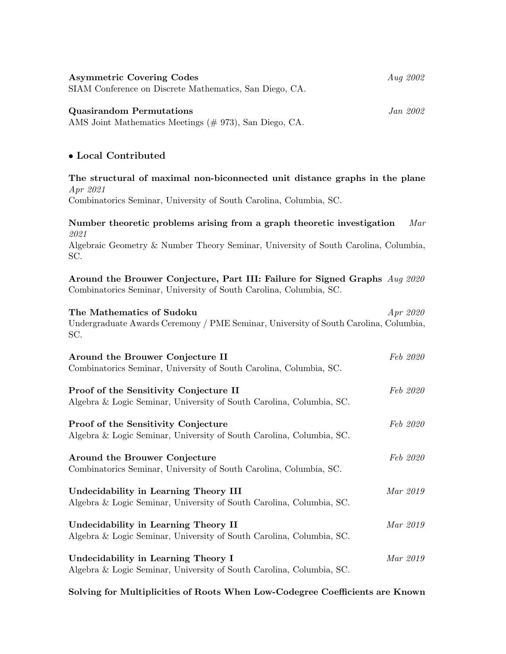| <b>Asymmetric Covering Codes</b><br>SIAM Conference on Discrete Mathematics, San Diego, CA.   | Aug 2002 |
|-----------------------------------------------------------------------------------------------|----------|
| <b>Quasirandom Permutations</b><br>AMS Joint Mathematics Meetings $(\# 973)$ , San Diego, CA. | Jan 2002 |
| • Local Contributed                                                                           |          |
| The structural of maximal non-biconnected unit distance graphs in the plane                   |          |

Apr 2021 Combinatorics Seminar, University of South Carolina, Columbia, SC.

Number theoretic problems arising from a graph theoretic investigation Mar 2021 Algebraic Geometry & Number Theory Seminar, University of South Carolina, Columbia, SC. Around the Brouwer Conjecture, Part III: Failure for Signed Graphs Aug 2020 Combinatorics Seminar, University of South Carolina, Columbia, SC. The Mathematics of Sudoku Apr 2020 Undergraduate Awards Ceremony / PME Seminar, University of South Carolina, Columbia, SC. Around the Brouwer Conjecture II Feb 2020 Combinatorics Seminar, University of South Carolina, Columbia, SC. Proof of the Sensitivity Conjecture II Feb 2020 Algebra & Logic Seminar, University of South Carolina, Columbia, SC. Proof of the Sensitivity Conjecture Feb 2020 Algebra & Logic Seminar, University of South Carolina, Columbia, SC. Around the Brouwer Conjecture Feb 2020 Combinatorics Seminar, University of South Carolina, Columbia, SC. Undecidability in Learning Theory III and the matrix of the Mar 2019

Algebra & Logic Seminar, University of South Carolina, Columbia, SC. Undecidability in Learning Theory II Mar 2019 Algebra & Logic Seminar, University of South Carolina, Columbia, SC. Undecidability in Learning Theory I Mar 2019

Algebra & Logic Seminar, University of South Carolina, Columbia, SC.

Solving for Multiplicities of Roots When Low-Codegree Coefficients are Known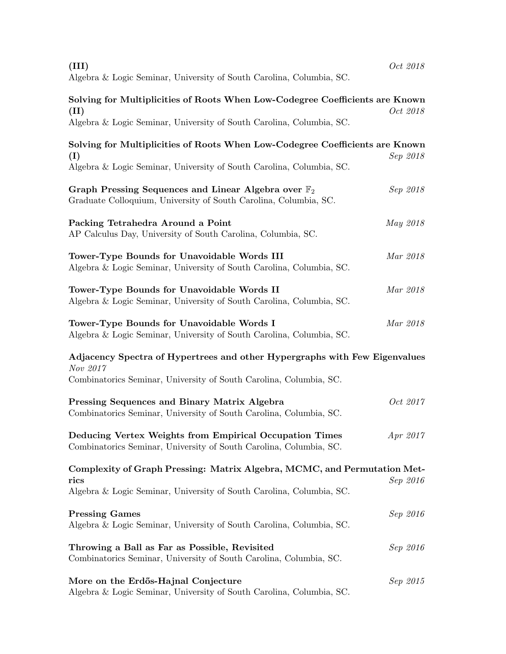| (III)<br>Algebra & Logic Seminar, University of South Carolina, Columbia, SC.                                                                                | Oct 2018 |
|--------------------------------------------------------------------------------------------------------------------------------------------------------------|----------|
| Solving for Multiplicities of Roots When Low-Codegree Coefficients are Known<br>(II)<br>Algebra & Logic Seminar, University of South Carolina, Columbia, SC. | Oct 2018 |
| Solving for Multiplicities of Roots When Low-Codegree Coefficients are Known<br>(I)<br>Algebra & Logic Seminar, University of South Carolina, Columbia, SC.  | Sep 2018 |
| Graph Pressing Sequences and Linear Algebra over $\mathbb{F}_2$<br>Graduate Colloquium, University of South Carolina, Columbia, SC.                          | Sep 2018 |
| Packing Tetrahedra Around a Point<br>AP Calculus Day, University of South Carolina, Columbia, SC.                                                            | May 2018 |
| Tower-Type Bounds for Unavoidable Words III<br>Algebra & Logic Seminar, University of South Carolina, Columbia, SC.                                          | Mar 2018 |
| Tower-Type Bounds for Unavoidable Words II<br>Algebra & Logic Seminar, University of South Carolina, Columbia, SC.                                           | Mar 2018 |
| Tower-Type Bounds for Unavoidable Words I<br>Algebra & Logic Seminar, University of South Carolina, Columbia, SC.                                            | Mar 2018 |
| Adjacency Spectra of Hypertrees and other Hypergraphs with Few Eigenvalues<br>Nov 2017<br>Combinatorics Seminar, University of South Carolina, Columbia, SC. |          |
| Pressing Sequences and Binary Matrix Algebra<br>Combinatorics Seminar, University of South Carolina, Columbia, SC.                                           | Oct 2017 |
| Deducing Vertex Weights from Empirical Occupation Times<br>Combinatorics Seminar, University of South Carolina, Columbia, SC.                                | Apr 2017 |
| Complexity of Graph Pressing: Matrix Algebra, MCMC, and Permutation Met-<br>rics<br>Algebra & Logic Seminar, University of South Carolina, Columbia, SC.     | Sep 2016 |
| <b>Pressing Games</b><br>Algebra & Logic Seminar, University of South Carolina, Columbia, SC.                                                                | Sep 2016 |
| Throwing a Ball as Far as Possible, Revisited<br>Combinatorics Seminar, University of South Carolina, Columbia, SC.                                          | Sep 2016 |
| More on the Erdős-Hajnal Conjecture<br>Algebra & Logic Seminar, University of South Carolina, Columbia, SC.                                                  | Sep 2015 |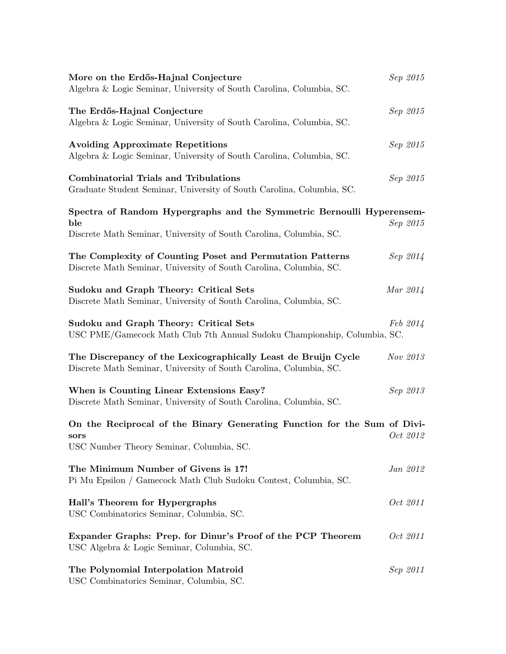| More on the Erdős-Hajnal Conjecture<br>Algebra & Logic Seminar, University of South Carolina, Columbia, SC.                                        | Sep 2015        |
|----------------------------------------------------------------------------------------------------------------------------------------------------|-----------------|
| The Erdős-Hajnal Conjecture<br>Algebra & Logic Seminar, University of South Carolina, Columbia, SC.                                                | Sep 2015        |
| <b>Avoiding Approximate Repetitions</b><br>Algebra & Logic Seminar, University of South Carolina, Columbia, SC.                                    | Sep 2015        |
| <b>Combinatorial Trials and Tribulations</b><br>Graduate Student Seminar, University of South Carolina, Columbia, SC.                              | Sep 2015        |
| Spectra of Random Hypergraphs and the Symmetric Bernoulli Hyperensem-<br>ble<br>Discrete Math Seminar, University of South Carolina, Columbia, SC. | Sep 2015        |
| The Complexity of Counting Poset and Permutation Patterns<br>Discrete Math Seminar, University of South Carolina, Columbia, SC.                    | Sep 2014        |
| Sudoku and Graph Theory: Critical Sets<br>Discrete Math Seminar, University of South Carolina, Columbia, SC.                                       | Mar 2014        |
| Sudoku and Graph Theory: Critical Sets<br>USC PME/Gamecock Math Club 7th Annual Sudoku Championship, Columbia, SC.                                 | Feb 2014        |
| The Discrepancy of the Lexicographically Least de Bruijn Cycle<br>Discrete Math Seminar, University of South Carolina, Columbia, SC.               | Nov 2013        |
| When is Counting Linear Extensions Easy?<br>Discrete Math Seminar, University of South Carolina, Columbia, SC.                                     | Sep 2013        |
| On the Reciprocal of the Binary Generating Function for the Sum of Divi-<br>sors<br>USC Number Theory Seminar, Columbia, SC.                       | <i>Oct 2012</i> |
| The Minimum Number of Givens is 17!<br>Pi Mu Epsilon / Gamecock Math Club Sudoku Contest, Columbia, SC.                                            | Jan 2012        |
| Hall's Theorem for Hypergraphs<br>USC Combinatorics Seminar, Columbia, SC.                                                                         | Oct 2011        |
| Expander Graphs: Prep. for Dinur's Proof of the PCP Theorem<br>USC Algebra & Logic Seminar, Columbia, SC.                                          | Oct 2011        |
| The Polynomial Interpolation Matroid<br>USC Combinatorics Seminar, Columbia, SC.                                                                   | Sep 2011        |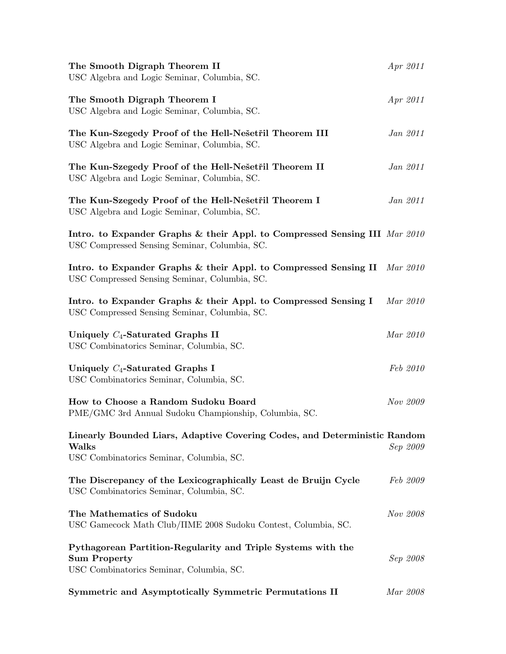| The Smooth Digraph Theorem II<br>USC Algebra and Logic Seminar, Columbia, SC.                                                   | Apr 2011 |
|---------------------------------------------------------------------------------------------------------------------------------|----------|
| The Smooth Digraph Theorem I<br>USC Algebra and Logic Seminar, Columbia, SC.                                                    | Apr 2011 |
| The Kun-Szegedy Proof of the Hell-Nešetřil Theorem III<br>USC Algebra and Logic Seminar, Columbia, SC.                          | Jan 2011 |
| The Kun-Szegedy Proof of the Hell-Nešetřil Theorem II<br>USC Algebra and Logic Seminar, Columbia, SC.                           | Jan 2011 |
| The Kun-Szegedy Proof of the Hell-Nešetřil Theorem I<br>USC Algebra and Logic Seminar, Columbia, SC.                            | Jan 2011 |
| Intro. to Expander Graphs & their Appl. to Compressed Sensing III Mar 2010<br>USC Compressed Sensing Seminar, Columbia, SC.     |          |
| Intro. to Expander Graphs & their Appl. to Compressed Sensing II<br>USC Compressed Sensing Seminar, Columbia, SC.               | Mar 2010 |
| Intro. to Expander Graphs & their Appl. to Compressed Sensing I<br>USC Compressed Sensing Seminar, Columbia, SC.                | Mar 2010 |
| Uniquely $C_4$ -Saturated Graphs II<br>USC Combinatorics Seminar, Columbia, SC.                                                 | Mar 2010 |
| Uniquely $C_4$ -Saturated Graphs I<br>USC Combinatorics Seminar, Columbia, SC.                                                  | Feb 2010 |
| How to Choose a Random Sudoku Board<br>PME/GMC 3rd Annual Sudoku Championship, Columbia, SC.                                    | Nov 2009 |
| Linearly Bounded Liars, Adaptive Covering Codes, and Deterministic Random<br>Walks<br>USC Combinatorics Seminar, Columbia, SC.  | Sep 2009 |
| The Discrepancy of the Lexicographically Least de Bruijn Cycle<br>USC Combinatorics Seminar, Columbia, SC.                      | Feb 2009 |
| The Mathematics of Sudoku<br>USC Gamecock Math Club/IIME 2008 Sudoku Contest, Columbia, SC.                                     | Nov 2008 |
| Pythagorean Partition-Regularity and Triple Systems with the<br><b>Sum Property</b><br>USC Combinatorics Seminar, Columbia, SC. | Sep 2008 |
| Symmetric and Asymptotically Symmetric Permutations II                                                                          | Mar 2008 |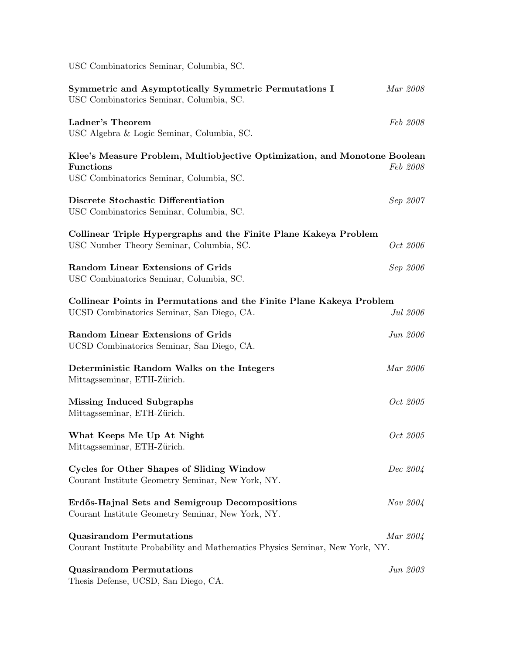| USC Combinatorics Seminar, Columbia, SC.                                                                                                  |          |  |
|-------------------------------------------------------------------------------------------------------------------------------------------|----------|--|
| Symmetric and Asymptotically Symmetric Permutations I<br>USC Combinatorics Seminar, Columbia, SC.                                         | Mar 2008 |  |
| Ladner's Theorem<br>USC Algebra & Logic Seminar, Columbia, SC.                                                                            | Feb 2008 |  |
| Klee's Measure Problem, Multiobjective Optimization, and Monotone Boolean<br><b>Functions</b><br>USC Combinatorics Seminar, Columbia, SC. | Feb 2008 |  |
| Discrete Stochastic Differentiation<br>USC Combinatorics Seminar, Columbia, SC.                                                           | Sep 2007 |  |
| Collinear Triple Hypergraphs and the Finite Plane Kakeya Problem<br>USC Number Theory Seminar, Columbia, SC.                              | Oct 2006 |  |
| <b>Random Linear Extensions of Grids</b><br>USC Combinatorics Seminar, Columbia, SC.                                                      | Sep 2006 |  |
| Collinear Points in Permutations and the Finite Plane Kakeya Problem<br>UCSD Combinatorics Seminar, San Diego, CA.                        | Jul 2006 |  |
| <b>Random Linear Extensions of Grids</b><br>UCSD Combinatorics Seminar, San Diego, CA.                                                    | Jun 2006 |  |
| Deterministic Random Walks on the Integers<br>Mittagsseminar, ETH-Zürich.                                                                 | Mar 2006 |  |
| <b>Missing Induced Subgraphs</b><br>Mittagsseminar, ETH-Zürich.                                                                           | Oct 2005 |  |
| What Keeps Me Up At Night<br>Mittagsseminar, ETH-Zürich.                                                                                  | Oct 2005 |  |
| Cycles for Other Shapes of Sliding Window<br>Courant Institute Geometry Seminar, New York, NY.                                            | Dec 2004 |  |
| Erdős-Hajnal Sets and Semigroup Decompositions<br>Courant Institute Geometry Seminar, New York, NY.                                       | Nov 2004 |  |
| <b>Quasirandom Permutations</b><br>Courant Institute Probability and Mathematics Physics Seminar, New York, NY.                           | Mar 2004 |  |
| <b>Quasirandom Permutations</b><br>Thesis Defense, UCSD, San Diego, CA.                                                                   | Jun 2003 |  |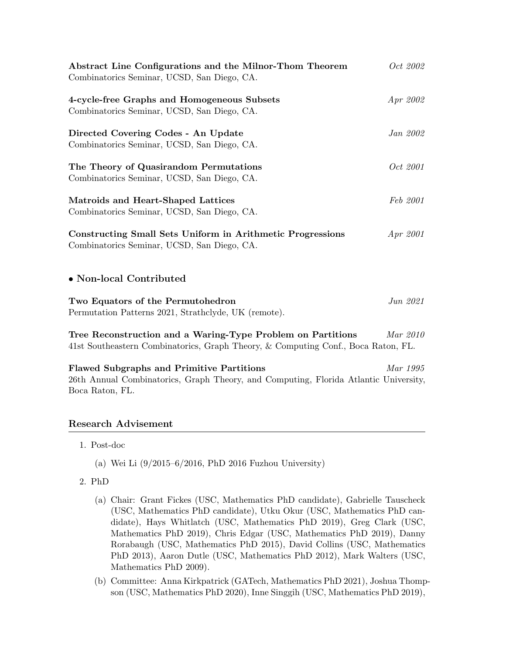| Abstract Line Configurations and the Milnor-Thom Theorem<br>Combinatorics Seminar, UCSD, San Diego, CA.                                                     | Oct 2002        |
|-------------------------------------------------------------------------------------------------------------------------------------------------------------|-----------------|
| 4-cycle-free Graphs and Homogeneous Subsets<br>Combinatorics Seminar, UCSD, San Diego, CA.                                                                  | Apr 2002        |
| Directed Covering Codes - An Update<br>Combinatorics Seminar, UCSD, San Diego, CA.                                                                          | <i>Jan 2002</i> |
| The Theory of Quasirandom Permutations<br>Combinatorics Seminar, UCSD, San Diego, CA.                                                                       | <i>Oct</i> 2001 |
| Matroids and Heart-Shaped Lattices<br>Combinatorics Seminar, UCSD, San Diego, CA.                                                                           | Feb 2001        |
| Constructing Small Sets Uniform in Arithmetic Progressions<br>Combinatorics Seminar, UCSD, San Diego, CA.                                                   | Apr 2001        |
| • Non-local Contributed                                                                                                                                     |                 |
| Two Equators of the Permutohedron<br>Permutation Patterns 2021, Strathclyde, UK (remote).                                                                   | Jun 2021        |
| Tree Reconstruction and a Waring-Type Problem on Partitions<br>41st Southeastern Combinatorics, Graph Theory, & Computing Conf., Boca Raton, FL.            | Mar 2010        |
| <b>Flawed Subgraphs and Primitive Partitions</b><br>26th Annual Combinatorics, Graph Theory, and Computing, Florida Atlantic University,<br>Boca Raton, FL. | Mar 1995        |

# Research Advisement

- 1. Post-doc
	- (a) Wei Li (9/2015–6/2016, PhD 2016 Fuzhou University)
- 2. PhD
	- (a) Chair: Grant Fickes (USC, Mathematics PhD candidate), Gabrielle Tauscheck (USC, Mathematics PhD candidate), Utku Okur (USC, Mathematics PhD candidate), Hays Whitlatch (USC, Mathematics PhD 2019), Greg Clark (USC, Mathematics PhD 2019), Chris Edgar (USC, Mathematics PhD 2019), Danny Rorabaugh (USC, Mathematics PhD 2015), David Collins (USC, Mathematics PhD 2013), Aaron Dutle (USC, Mathematics PhD 2012), Mark Walters (USC, Mathematics PhD 2009).
	- (b) Committee: Anna Kirkpatrick (GATech, Mathematics PhD 2021), Joshua Thompson (USC, Mathematics PhD 2020), Inne Singgih (USC, Mathematics PhD 2019),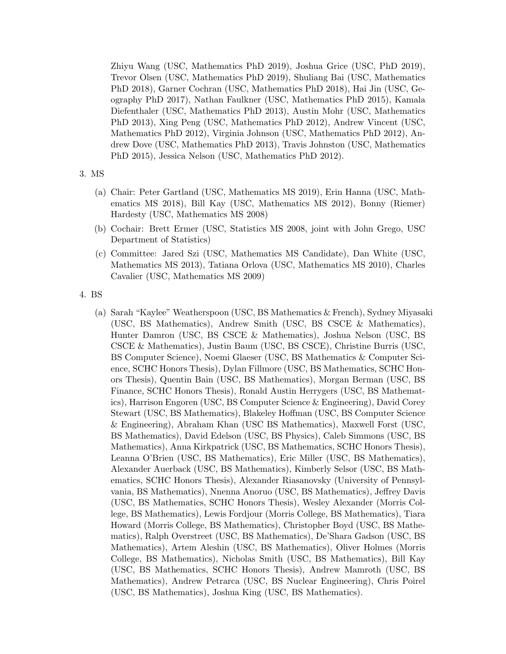Zhiyu Wang (USC, Mathematics PhD 2019), Joshua Grice (USC, PhD 2019), Trevor Olsen (USC, Mathematics PhD 2019), Shuliang Bai (USC, Mathematics PhD 2018), Garner Cochran (USC, Mathematics PhD 2018), Hai Jin (USC, Geography PhD 2017), Nathan Faulkner (USC, Mathematics PhD 2015), Kamala Diefenthaler (USC, Mathematics PhD 2013), Austin Mohr (USC, Mathematics PhD 2013), Xing Peng (USC, Mathematics PhD 2012), Andrew Vincent (USC, Mathematics PhD 2012), Virginia Johnson (USC, Mathematics PhD 2012), Andrew Dove (USC, Mathematics PhD 2013), Travis Johnston (USC, Mathematics PhD 2015), Jessica Nelson (USC, Mathematics PhD 2012).

#### 3. MS

- (a) Chair: Peter Gartland (USC, Mathematics MS 2019), Erin Hanna (USC, Mathematics MS 2018), Bill Kay (USC, Mathematics MS 2012), Bonny (Riemer) Hardesty (USC, Mathematics MS 2008)
- (b) Cochair: Brett Ermer (USC, Statistics MS 2008, joint with John Grego, USC Department of Statistics)
- (c) Committee: Jared Szi (USC, Mathematics MS Candidate), Dan White (USC, Mathematics MS 2013), Tatiana Orlova (USC, Mathematics MS 2010), Charles Cavalier (USC, Mathematics MS 2009)

4. BS

(a) Sarah "Kaylee" Weatherspoon (USC, BS Mathematics & French), Sydney Miyasaki (USC, BS Mathematics), Andrew Smith (USC, BS CSCE & Mathematics), Hunter Damron (USC, BS CSCE & Mathematics), Joshua Nelson (USC, BS CSCE & Mathematics), Justin Baum (USC, BS CSCE), Christine Burris (USC, BS Computer Science), Noemi Glaeser (USC, BS Mathematics & Computer Science, SCHC Honors Thesis), Dylan Fillmore (USC, BS Mathematics, SCHC Honors Thesis), Quentin Bain (USC, BS Mathematics), Morgan Berman (USC, BS Finance, SCHC Honors Thesis), Ronald Austin Herrygers (USC, BS Mathematics), Harrison Engoren (USC, BS Computer Science & Engineering), David Corey Stewart (USC, BS Mathematics), Blakeley Hoffman (USC, BS Computer Science & Engineering), Abraham Khan (USC BS Mathematics), Maxwell Forst (USC, BS Mathematics), David Edelson (USC, BS Physics), Caleb Simmons (USC, BS Mathematics), Anna Kirkpatrick (USC, BS Mathematics, SCHC Honors Thesis), Leanna O'Brien (USC, BS Mathematics), Eric Miller (USC, BS Mathematics), Alexander Auerback (USC, BS Mathematics), Kimberly Selsor (USC, BS Mathematics, SCHC Honors Thesis), Alexander Riasanovsky (University of Pennsylvania, BS Mathematics), Nnenna Anoruo (USC, BS Mathematics), Jeffrey Davis (USC, BS Mathematics, SCHC Honors Thesis), Wesley Alexander (Morris College, BS Mathematics), Lewis Fordjour (Morris College, BS Mathematics), Tiara Howard (Morris College, BS Mathematics), Christopher Boyd (USC, BS Mathematics), Ralph Overstreet (USC, BS Mathematics), De'Shara Gadson (USC, BS Mathematics), Artem Aleshin (USC, BS Mathematics), Oliver Holmes (Morris College, BS Mathematics), Nicholas Smith (USC, BS Mathematics), Bill Kay (USC, BS Mathematics, SCHC Honors Thesis), Andrew Mamroth (USC, BS Mathematics), Andrew Petrarca (USC, BS Nuclear Engineering), Chris Poirel (USC, BS Mathematics), Joshua King (USC, BS Mathematics).